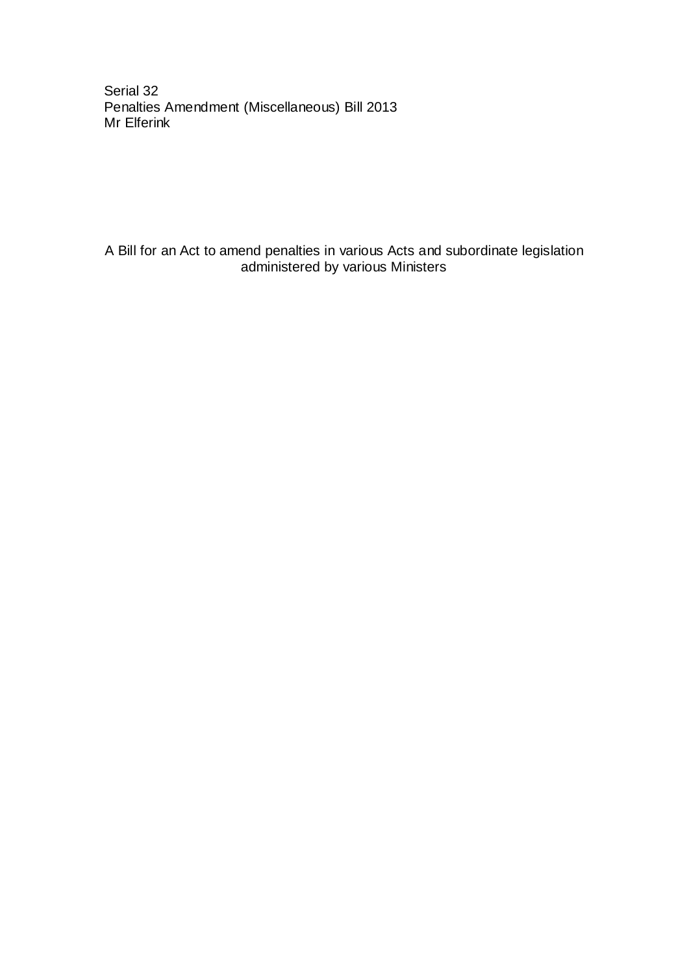Serial 32 Penalties Amendment (Miscellaneous) Bill 2013 Mr Elferink

A Bill for an Act to amend penalties in various Acts and subordinate legislation administered by various Ministers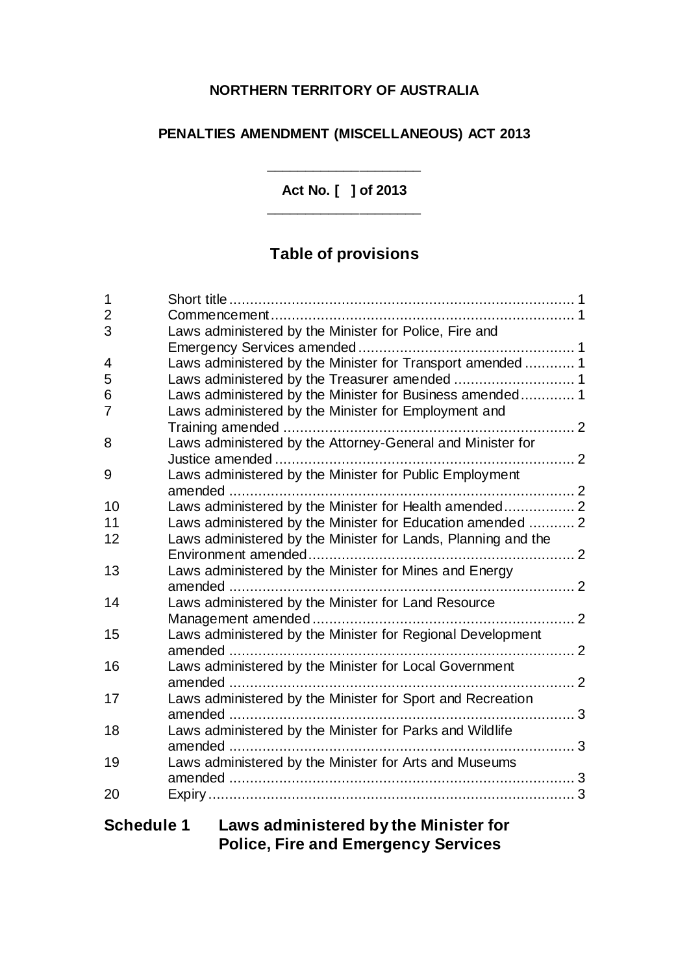### **NORTHERN TERRITORY OF AUSTRALIA**

### **PENALTIES AMENDMENT (MISCELLANEOUS) ACT 2013**

**Act No. [ ] of 2013** \_\_\_\_\_\_\_\_\_\_\_\_\_\_\_\_\_\_\_\_

\_\_\_\_\_\_\_\_\_\_\_\_\_\_\_\_\_\_\_\_

# **Table of provisions**

| $\mathbf{1}$   |                                                               |  |
|----------------|---------------------------------------------------------------|--|
| $\overline{2}$ |                                                               |  |
| 3              | Laws administered by the Minister for Police, Fire and        |  |
|                |                                                               |  |
| 4              | Laws administered by the Minister for Transport amended  1    |  |
| 5              |                                                               |  |
| 6              | Laws administered by the Minister for Business amended 1      |  |
| 7              | Laws administered by the Minister for Employment and          |  |
|                |                                                               |  |
| 8              | Laws administered by the Attorney-General and Minister for    |  |
|                |                                                               |  |
| 9              | Laws administered by the Minister for Public Employment       |  |
|                |                                                               |  |
| 10             | Laws administered by the Minister for Health amended 2        |  |
| 11             | Laws administered by the Minister for Education amended  2    |  |
| 12             | Laws administered by the Minister for Lands, Planning and the |  |
|                |                                                               |  |
| 13             | Laws administered by the Minister for Mines and Energy        |  |
|                |                                                               |  |
| 14             | Laws administered by the Minister for Land Resource           |  |
|                |                                                               |  |
| 15             | Laws administered by the Minister for Regional Development    |  |
|                |                                                               |  |
| 16             | Laws administered by the Minister for Local Government        |  |
|                |                                                               |  |
| 17             | Laws administered by the Minister for Sport and Recreation    |  |
|                |                                                               |  |
| 18             | Laws administered by the Minister for Parks and Wildlife      |  |
|                |                                                               |  |
| 19             | Laws administered by the Minister for Arts and Museums        |  |
|                |                                                               |  |
| 20             |                                                               |  |
|                |                                                               |  |

## **Schedule 1 Laws administered by the Minister for Police, Fire and Emergency Services**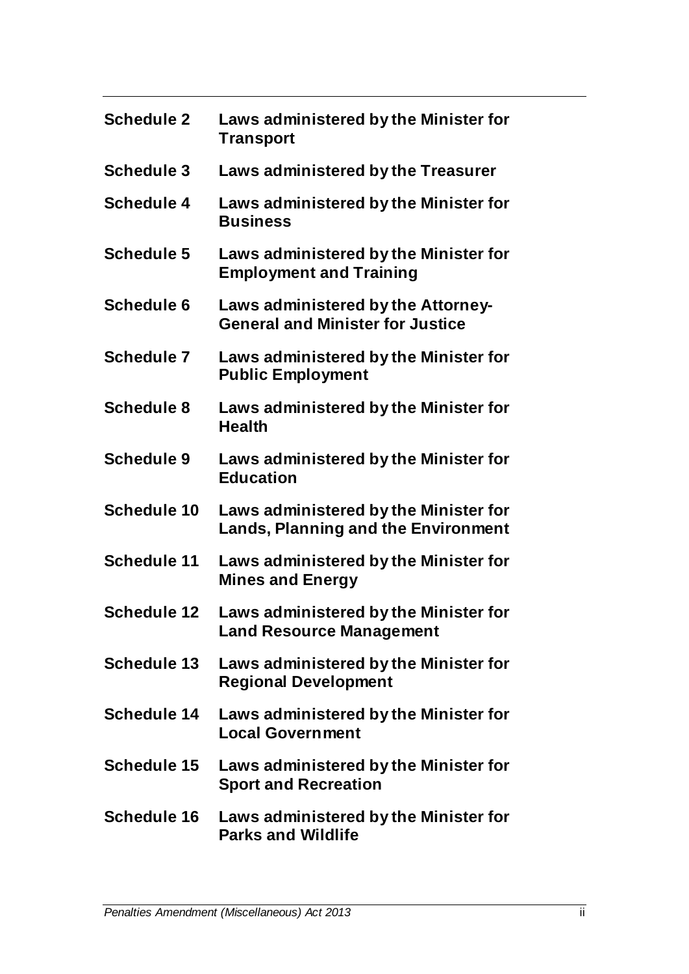| <b>Schedule 2</b>  | Laws administered by the Minister for<br><b>Transport</b>                           |
|--------------------|-------------------------------------------------------------------------------------|
| <b>Schedule 3</b>  | Laws administered by the Treasurer                                                  |
| <b>Schedule 4</b>  | Laws administered by the Minister for<br><b>Business</b>                            |
| <b>Schedule 5</b>  | Laws administered by the Minister for<br><b>Employment and Training</b>             |
| <b>Schedule 6</b>  | Laws administered by the Attorney-<br><b>General and Minister for Justice</b>       |
| <b>Schedule 7</b>  | Laws administered by the Minister for<br><b>Public Employment</b>                   |
| <b>Schedule 8</b>  | Laws administered by the Minister for<br><b>Health</b>                              |
| <b>Schedule 9</b>  | Laws administered by the Minister for<br><b>Education</b>                           |
| <b>Schedule 10</b> | Laws administered by the Minister for<br><b>Lands, Planning and the Environment</b> |
| Schedule 11        | Laws administered by the Minister for<br><b>Mines and Energy</b>                    |
| <b>Schedule 12</b> | Laws administered by the Minister for<br><b>Land Resource Management</b>            |
| <b>Schedule 13</b> | Laws administered by the Minister for<br><b>Regional Development</b>                |
| <b>Schedule 14</b> | Laws administered by the Minister for<br><b>Local Government</b>                    |
| <b>Schedule 15</b> | Laws administered by the Minister for<br><b>Sport and Recreation</b>                |
| <b>Schedule 16</b> | Laws administered by the Minister for<br><b>Parks and Wildlife</b>                  |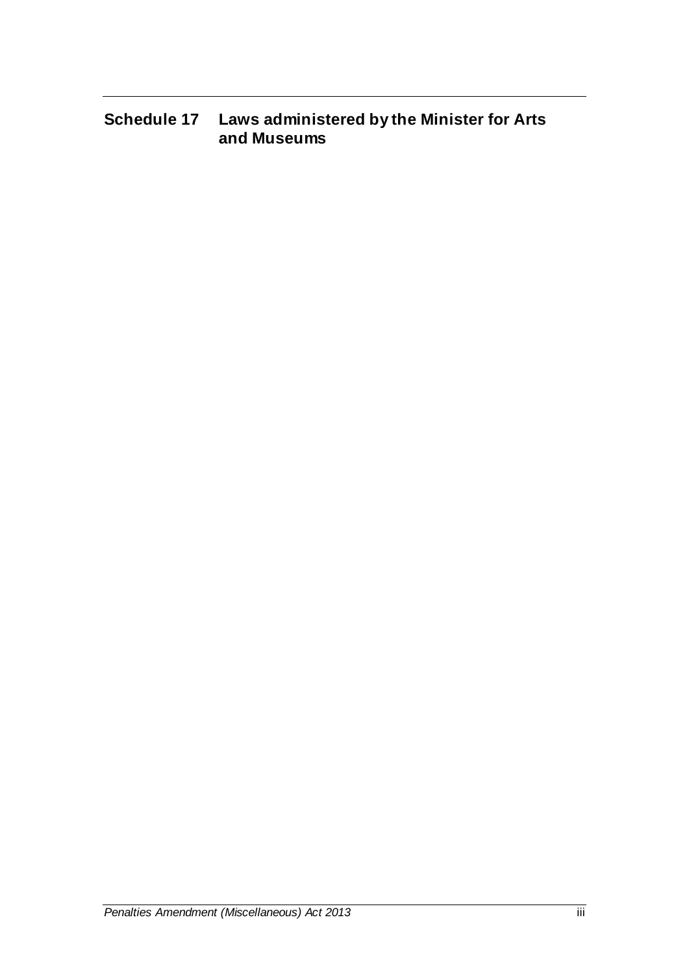# **Schedule 17 Laws administered by the Minister for Arts and Museums**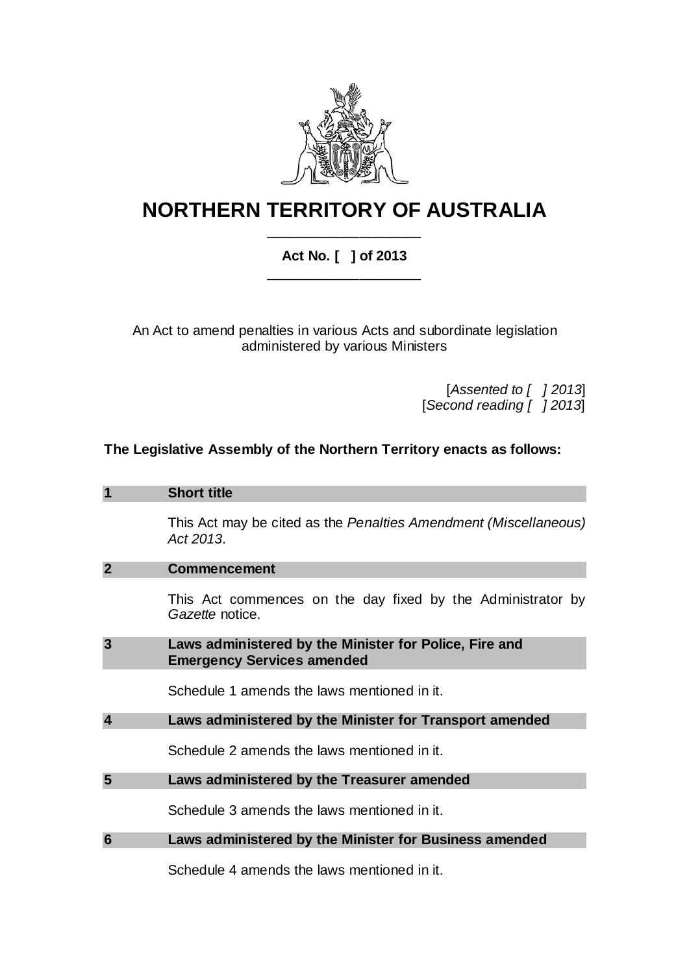

## **NORTHERN TERRITORY OF AUSTRALIA** \_\_\_\_\_\_\_\_\_\_\_\_\_\_\_\_\_\_\_\_

### **Act No. [ ] of 2013** \_\_\_\_\_\_\_\_\_\_\_\_\_\_\_\_\_\_\_\_

An Act to amend penalties in various Acts and subordinate legislation administered by various Ministers

> [*Assented to [ ] 2013*] [*Second reading [ ] 2013*]

#### **The Legislative Assembly of the Northern Territory enacts as follows:**

|                         | <b>Short title</b>                                                                          |  |
|-------------------------|---------------------------------------------------------------------------------------------|--|
|                         | This Act may be cited as the Penalties Amendment (Miscellaneous)<br>Act 2013.               |  |
| $\mathbf{2}$            | <b>Commencement</b>                                                                         |  |
|                         | This Act commences on the day fixed by the Administrator by<br>Gazette notice.              |  |
| 3                       | Laws administered by the Minister for Police, Fire and<br><b>Emergency Services amended</b> |  |
|                         | Schedule 1 amends the laws mentioned in it.                                                 |  |
| $\overline{\mathbf{A}}$ | Laws administered by the Minister for Transport amended                                     |  |
|                         | Schedule 2 amends the laws mentioned in it.                                                 |  |
| 5                       | Laws administered by the Treasurer amended                                                  |  |
|                         | Schedule 3 amends the laws mentioned in it.                                                 |  |
| 6                       | Laws administered by the Minister for Business amended                                      |  |
|                         |                                                                                             |  |

Schedule 4 amends the laws mentioned in it.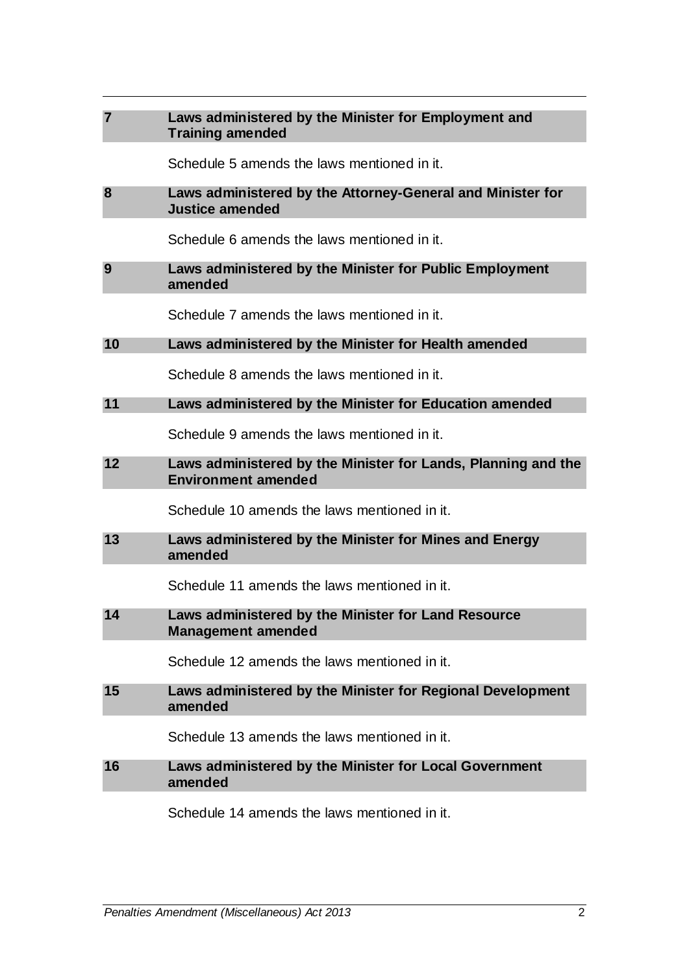| $\overline{7}$ | Laws administered by the Minister for Employment and<br><b>Training amended</b>             |
|----------------|---------------------------------------------------------------------------------------------|
|                | Schedule 5 amends the laws mentioned in it.                                                 |
| 8              | Laws administered by the Attorney-General and Minister for<br><b>Justice amended</b>        |
|                | Schedule 6 amends the laws mentioned in it.                                                 |
| 9              | Laws administered by the Minister for Public Employment<br>amended                          |
|                | Schedule 7 amends the laws mentioned in it.                                                 |
| 10             | Laws administered by the Minister for Health amended                                        |
|                | Schedule 8 amends the laws mentioned in it.                                                 |
| 11             | Laws administered by the Minister for Education amended                                     |
|                | Schedule 9 amends the laws mentioned in it.                                                 |
| 12             | Laws administered by the Minister for Lands, Planning and the<br><b>Environment amended</b> |
|                | Schedule 10 amends the laws mentioned in it.                                                |
| 13             | Laws administered by the Minister for Mines and Energy<br>amended                           |
|                | Schedule 11 amends the laws mentioned in it.                                                |
| 14             | Laws administered by the Minister for Land Resource<br><b>Management amended</b>            |
|                | Schedule 12 amends the laws mentioned in it.                                                |
| 15             | Laws administered by the Minister for Regional Development<br>amended                       |
|                | Schedule 13 amends the laws mentioned in it.                                                |
| 16             | Laws administered by the Minister for Local Government<br>amended                           |
|                | Schedule 14 amends the laws mentioned in it.                                                |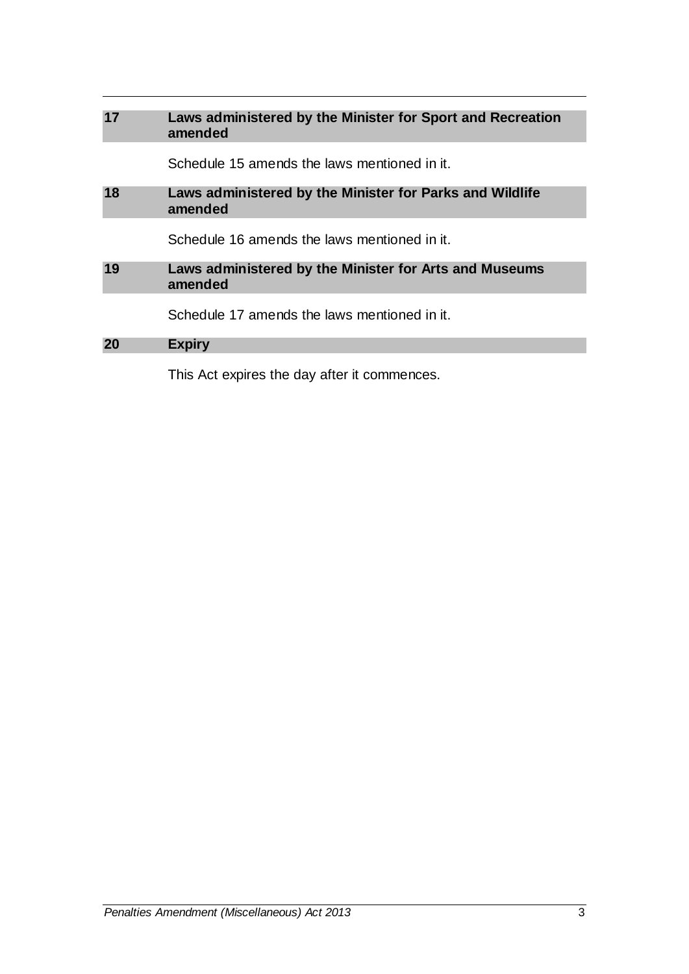| 17 | Laws administered by the Minister for Sport and Recreation<br>amended |
|----|-----------------------------------------------------------------------|
|    | Schedule 15 amends the laws mentioned in it.                          |
| 18 | Laws administered by the Minister for Parks and Wildlife<br>amended   |
|    | Schedule 16 amends the laws mentioned in it.                          |
| 19 | Laws administered by the Minister for Arts and Museums<br>amended     |
|    | Schedule 17 amends the laws mentioned in it.                          |
| 20 | <b>Expiry</b>                                                         |
|    | This Act expires the day after it commences.                          |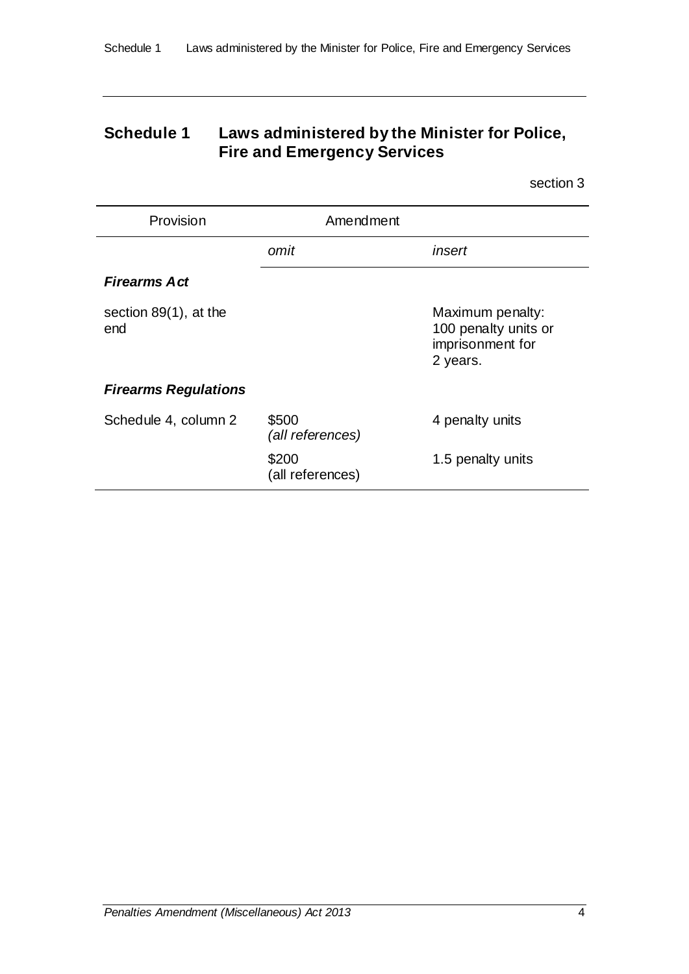## **Schedule 1 Laws administered by the Minister for Police, Fire and Emergency Services**

section 3

| Provision                       | Amendment                 |                                                                          |
|---------------------------------|---------------------------|--------------------------------------------------------------------------|
|                                 | omit                      | insert                                                                   |
| <b>Firearms Act</b>             |                           |                                                                          |
| section $89(1)$ , at the<br>end |                           | Maximum penalty:<br>100 penalty units or<br>imprisonment for<br>2 years. |
| <b>Firearms Regulations</b>     |                           |                                                                          |
| Schedule 4, column 2            | \$500<br>(all references) | 4 penalty units                                                          |
|                                 | \$200<br>(all references) | 1.5 penalty units                                                        |

*Penalties Amendment (Miscellaneous) Act 2013* 4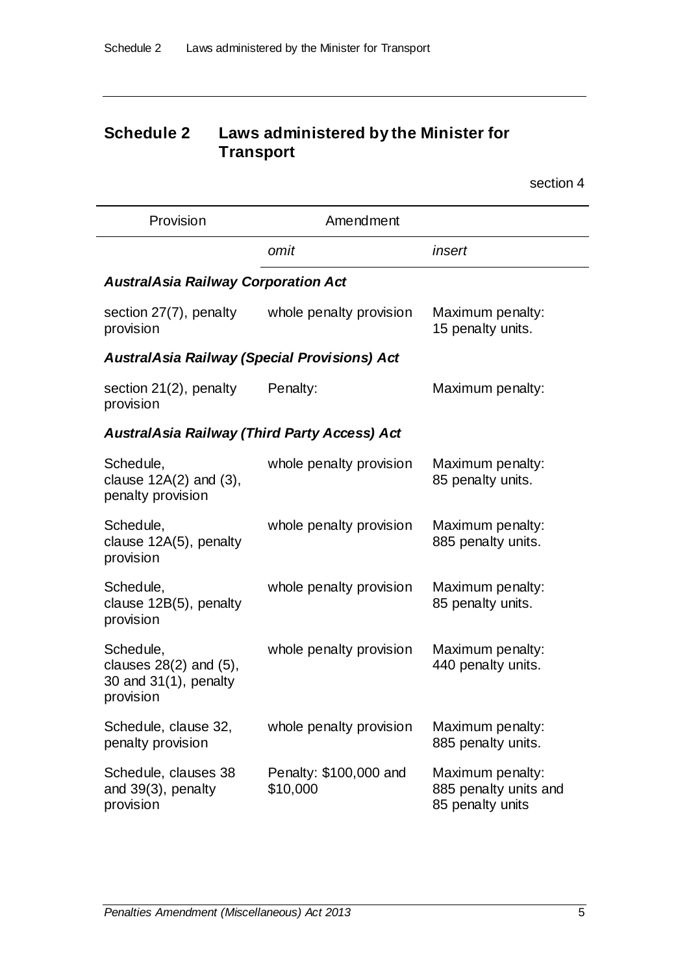## **Schedule 2 Laws administered by the Minister for Transport**

| Provision                                                                      | Amendment                                           |                                                               |
|--------------------------------------------------------------------------------|-----------------------------------------------------|---------------------------------------------------------------|
|                                                                                | omit                                                | insert                                                        |
| <b>AustralAsia Railway Corporation Act</b>                                     |                                                     |                                                               |
| section 27(7), penalty<br>provision                                            | whole penalty provision                             | Maximum penalty:<br>15 penalty units.                         |
| <b>AustralAsia Railway (Special Provisions) Act</b>                            |                                                     |                                                               |
| section $21(2)$ , penalty<br>provision                                         | Penalty:                                            | Maximum penalty:                                              |
|                                                                                | <b>AustralAsia Railway (Third Party Access) Act</b> |                                                               |
| Schedule,<br>clause $12A(2)$ and $(3)$ ,<br>penalty provision                  | whole penalty provision                             | Maximum penalty:<br>85 penalty units.                         |
| Schedule,<br>clause 12A(5), penalty<br>provision                               | whole penalty provision                             | Maximum penalty:<br>885 penalty units.                        |
| Schedule,<br>clause 12B(5), penalty<br>provision                               | whole penalty provision                             | Maximum penalty:<br>85 penalty units.                         |
| Schedule,<br>clauses $28(2)$ and $(5)$ ,<br>30 and 31(1), penalty<br>provision | whole penalty provision                             | Maximum penalty:<br>440 penalty units.                        |
| Schedule, clause 32,<br>penalty provision                                      | whole penalty provision                             | Maximum penalty:<br>885 penalty units.                        |
| Schedule, clauses 38<br>and 39(3), penalty<br>provision                        | Penalty: \$100,000 and<br>\$10,000                  | Maximum penalty:<br>885 penalty units and<br>85 penalty units |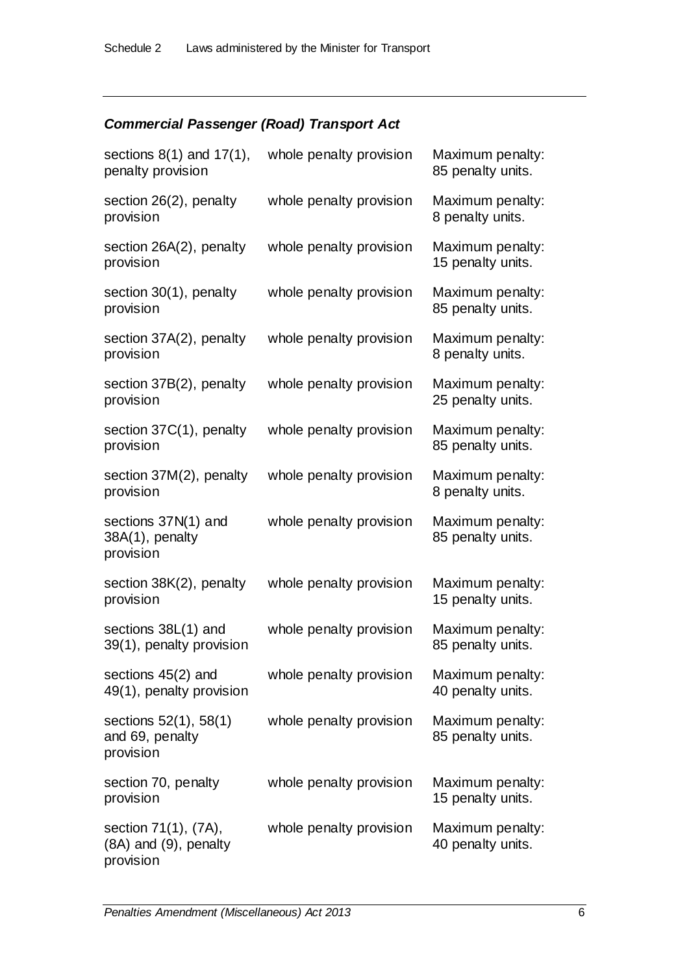### *Commercial Passenger (Road) Transport Act*

| sections $8(1)$ and $17(1)$ ,<br>penalty provision         | whole penalty provision | Maximum penalty:<br>85 penalty units. |
|------------------------------------------------------------|-------------------------|---------------------------------------|
| section 26(2), penalty<br>provision                        | whole penalty provision | Maximum penalty:<br>8 penalty units.  |
| section 26A(2), penalty<br>provision                       | whole penalty provision | Maximum penalty:<br>15 penalty units. |
| section 30(1), penalty<br>provision                        | whole penalty provision | Maximum penalty:<br>85 penalty units. |
| section 37A(2), penalty<br>provision                       | whole penalty provision | Maximum penalty:<br>8 penalty units.  |
| section 37B(2), penalty<br>provision                       | whole penalty provision | Maximum penalty:<br>25 penalty units. |
| section 37C(1), penalty<br>provision                       | whole penalty provision | Maximum penalty:<br>85 penalty units. |
| section 37M(2), penalty<br>provision                       | whole penalty provision | Maximum penalty:<br>8 penalty units.  |
| sections 37N(1) and<br>38A(1), penalty<br>provision        | whole penalty provision | Maximum penalty:<br>85 penalty units. |
| section 38K(2), penalty<br>provision                       | whole penalty provision | Maximum penalty:<br>15 penalty units. |
| sections 38L(1) and<br>39(1), penalty provision            | whole penalty provision | Maximum penalty:<br>85 penalty units. |
| sections 45(2) and<br>49(1), penalty provision             | whole penalty provision | Maximum penalty:<br>40 penalty units. |
| sections 52(1), 58(1)<br>and 69, penalty<br>provision      | whole penalty provision | Maximum penalty:<br>85 penalty units. |
| section 70, penalty<br>provision                           | whole penalty provision | Maximum penalty:<br>15 penalty units. |
| section 71(1), (7A),<br>(8A) and (9), penalty<br>provision | whole penalty provision | Maximum penalty:<br>40 penalty units. |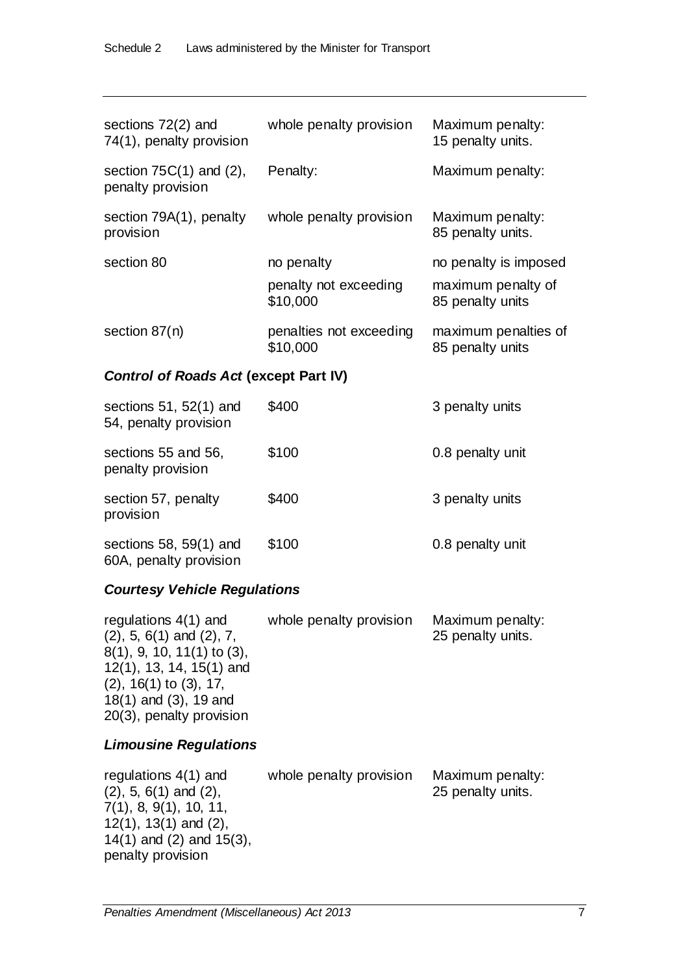| sections $72(2)$ and<br>74(1), penalty provision  | whole penalty provision             | Maximum penalty:<br>15 penalty units.    |
|---------------------------------------------------|-------------------------------------|------------------------------------------|
| section $75C(1)$ and $(2)$ ,<br>penalty provision | Penalty:                            | Maximum penalty:                         |
| section 79A(1), penalty<br>provision              | whole penalty provision             | Maximum penalty:<br>85 penalty units.    |
| section 80                                        | no penalty                          | no penalty is imposed                    |
|                                                   | penalty not exceeding<br>\$10,000   | maximum penalty of<br>85 penalty units   |
| section $87(n)$                                   | penalties not exceeding<br>\$10,000 | maximum penalties of<br>85 penalty units |
| <b>Control of Roads Act (except Part IV)</b>      |                                     |                                          |
| sections $51, 52(1)$ and<br>54, penalty provision | \$400                               | 3 penalty units                          |
| sections 55 and 56,<br>penalty provision          | \$100                               | 0.8 penalty unit                         |
| section 57, penalty<br>provision                  | \$400                               | 3 penalty units                          |
| sections $58, 59(1)$ and                          | \$100                               | 0.8 penalty unit                         |

60A, penalty provision

### *Courtesy Vehicle Regulations*

| regulations $4(1)$ and          | whole penalty provision | Maximum penalty:  |
|---------------------------------|-------------------------|-------------------|
| $(2)$ , 5, 6(1) and $(2)$ , 7,  |                         | 25 penalty units. |
| $8(1)$ , 9, 10, 11(1) to (3),   |                         |                   |
| $12(1)$ , 13, 14, 15(1) and     |                         |                   |
| $(2)$ , 16 $(1)$ to $(3)$ , 17, |                         |                   |
| 18(1) and (3), 19 and           |                         |                   |
| 20(3), penalty provision        |                         |                   |

### *Limousine Regulations*

| regulations $4(1)$ and        | whole penalty provision | Maximum penalty:  |
|-------------------------------|-------------------------|-------------------|
| $(2)$ , 5, 6(1) and $(2)$ ,   |                         | 25 penalty units. |
| 7(1), 8, 9(1), 10, 11,        |                         |                   |
| $12(1)$ , $13(1)$ and $(2)$ , |                         |                   |
| 14(1) and $(2)$ and $15(3)$ , |                         |                   |
| penalty provision             |                         |                   |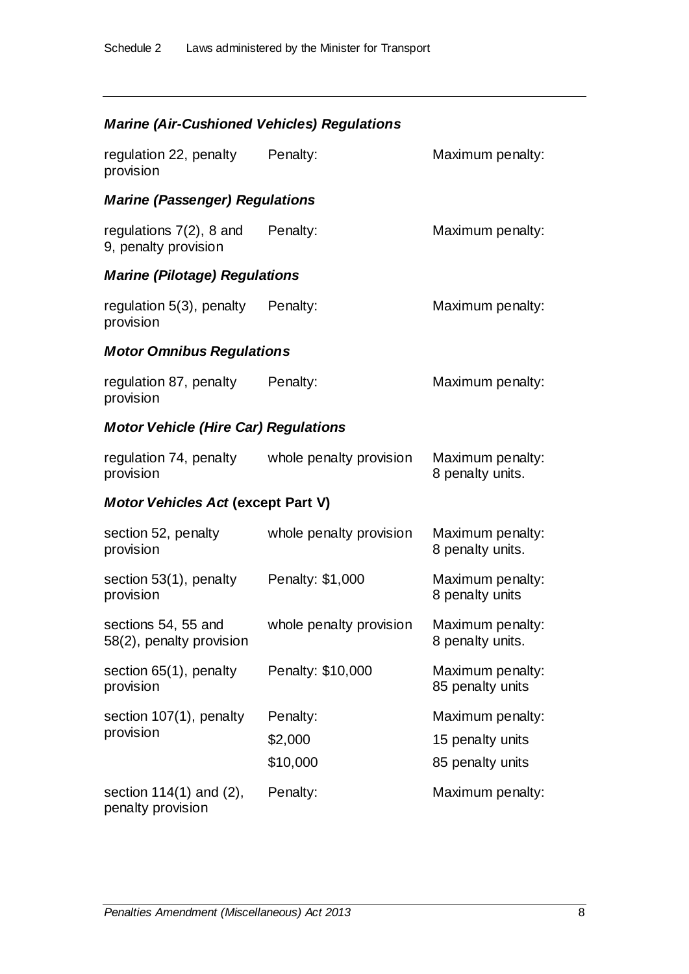## *Marine (Air-Cushioned Vehicles) Regulations*

| regulation 22, penalty Penalty:<br>provision                |                                 | Maximum penalty:                                         |
|-------------------------------------------------------------|---------------------------------|----------------------------------------------------------|
| <b>Marine (Passenger) Regulations</b>                       |                                 |                                                          |
| regulations 7(2), 8 and<br>9, penalty provision             | Penalty:                        | Maximum penalty:                                         |
| <b>Marine (Pilotage) Regulations</b>                        |                                 |                                                          |
| regulation 5(3), penalty Penalty:<br>provision              |                                 | Maximum penalty:                                         |
| <b>Motor Omnibus Regulations</b>                            |                                 |                                                          |
| regulation 87, penalty Penalty:<br>provision                |                                 | Maximum penalty:                                         |
| <b>Motor Vehicle (Hire Car) Regulations</b>                 |                                 |                                                          |
| regulation 74, penalty whole penalty provision<br>provision |                                 | Maximum penalty:<br>8 penalty units.                     |
| <b>Motor Vehicles Act (except Part V)</b>                   |                                 |                                                          |
| section 52, penalty<br>provision                            | whole penalty provision         | Maximum penalty:<br>8 penalty units.                     |
| section 53(1), penalty Penalty: \$1,000<br>provision        |                                 | Maximum penalty:<br>8 penalty units                      |
| sections 54, 55 and<br>58(2), penalty provision             | whole penalty provision         | Maximum penalty:<br>8 penalty units.                     |
| section 65(1), penalty<br>provision                         | Penalty: \$10,000               | Maximum penalty:<br>85 penalty units                     |
| section 107(1), penalty<br>provision                        | Penalty:<br>\$2,000<br>\$10,000 | Maximum penalty:<br>15 penalty units<br>85 penalty units |
| section $114(1)$ and $(2)$ ,<br>penalty provision           | Penalty:                        | Maximum penalty:                                         |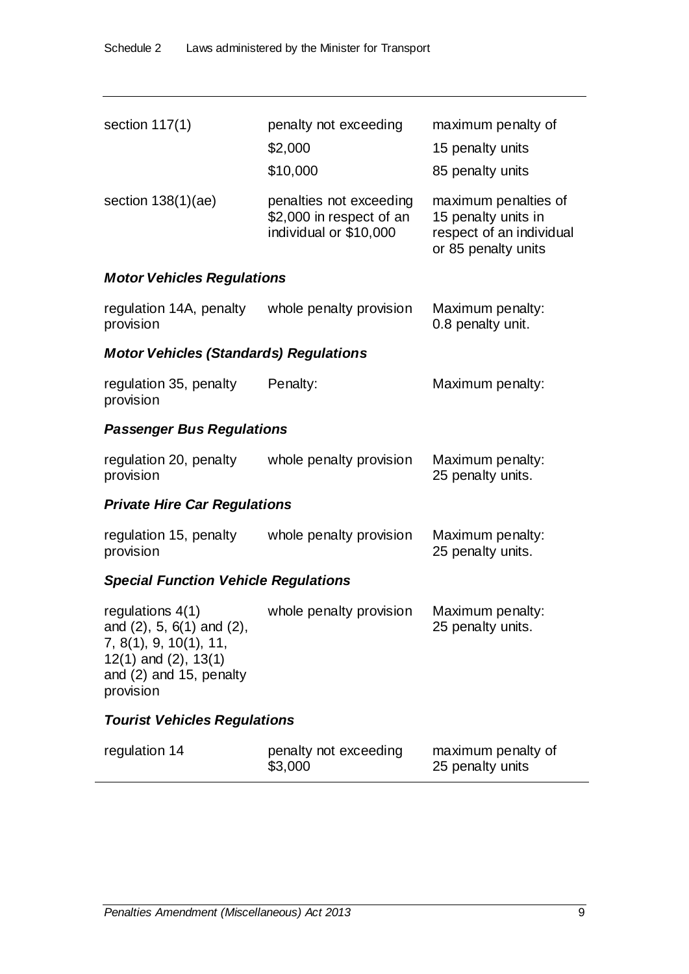| section $117(1)$                                                                                                                                 | penalty not exceeding                                                         | maximum penalty of                                                                             |
|--------------------------------------------------------------------------------------------------------------------------------------------------|-------------------------------------------------------------------------------|------------------------------------------------------------------------------------------------|
|                                                                                                                                                  | \$2,000                                                                       | 15 penalty units                                                                               |
|                                                                                                                                                  | \$10,000                                                                      | 85 penalty units                                                                               |
| section $138(1)(ae)$                                                                                                                             | penalties not exceeding<br>\$2,000 in respect of an<br>individual or \$10,000 | maximum penalties of<br>15 penalty units in<br>respect of an individual<br>or 85 penalty units |
| <b>Motor Vehicles Regulations</b>                                                                                                                |                                                                               |                                                                                                |
| regulation 14A, penalty<br>provision                                                                                                             | whole penalty provision                                                       | Maximum penalty:<br>0.8 penalty unit.                                                          |
| <b>Motor Vehicles (Standards) Regulations</b>                                                                                                    |                                                                               |                                                                                                |
| regulation 35, penalty<br>provision                                                                                                              | Penalty:                                                                      | Maximum penalty:                                                                               |
| <b>Passenger Bus Regulations</b>                                                                                                                 |                                                                               |                                                                                                |
| regulation 20, penalty<br>provision                                                                                                              | whole penalty provision                                                       | Maximum penalty:<br>25 penalty units.                                                          |
| <b>Private Hire Car Regulations</b>                                                                                                              |                                                                               |                                                                                                |
| regulation 15, penalty<br>provision                                                                                                              | whole penalty provision                                                       | Maximum penalty:<br>25 penalty units.                                                          |
| <b>Special Function Vehicle Regulations</b>                                                                                                      |                                                                               |                                                                                                |
| regulations $4(1)$<br>and (2), 5, 6(1) and (2),<br>7, 8(1), 9, 10(1), 11,<br>$12(1)$ and $(2)$ , $13(1)$<br>and (2) and 15, penalty<br>provision | whole penalty provision                                                       | Maximum penalty:<br>25 penalty units.                                                          |
| <b>Tourist Vehicles Regulations</b>                                                                                                              |                                                                               |                                                                                                |
| regulation 14                                                                                                                                    | penalty not exceeding<br>\$3,000                                              | maximum penalty of<br>25 penalty units                                                         |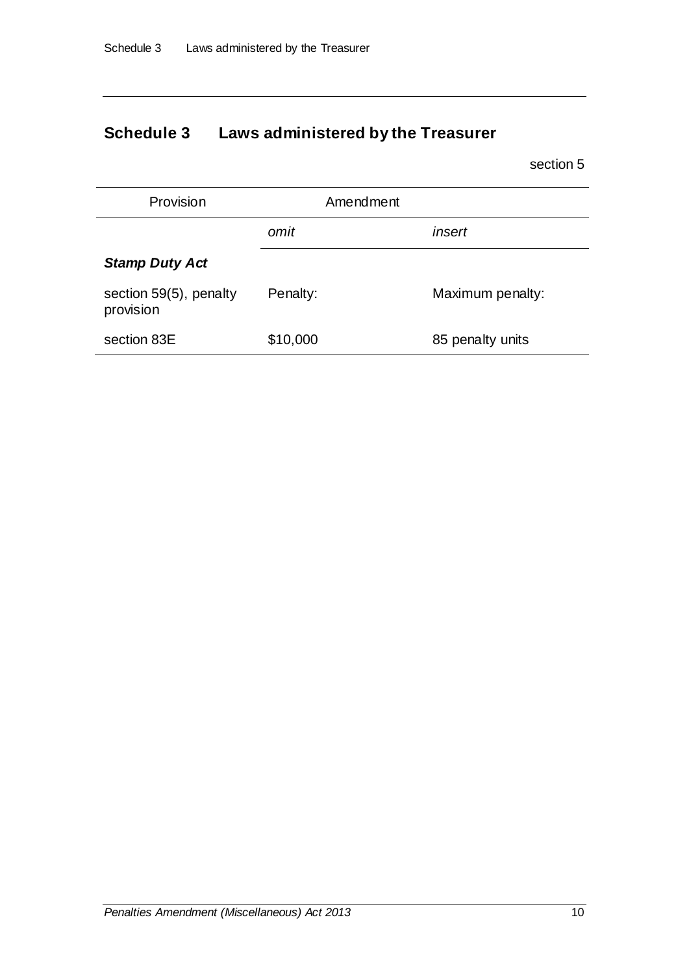# **Schedule 3 Laws administered by the Treasurer**

| Provision                           | Amendment |                  |
|-------------------------------------|-----------|------------------|
|                                     | omit      | insert           |
| <b>Stamp Duty Act</b>               |           |                  |
| section 59(5), penalty<br>provision | Penalty:  | Maximum penalty: |
| section 83E                         | \$10,000  | 85 penalty units |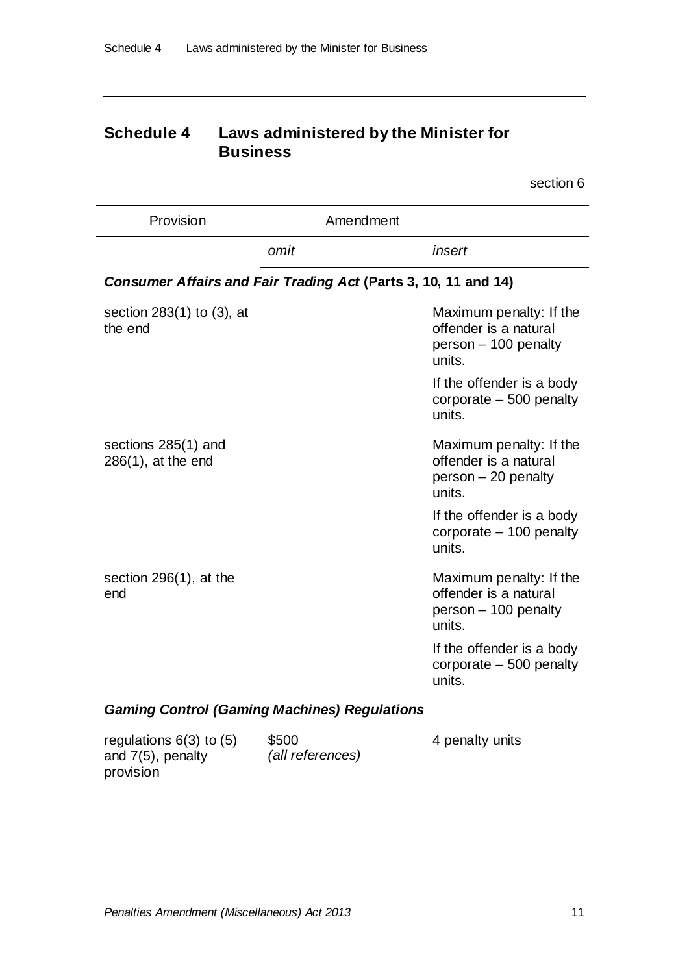## **Schedule 4 Laws administered by the Minister for Business**

section 6

| Provision                                    | Amendment                                                      |                                                                                     |
|----------------------------------------------|----------------------------------------------------------------|-------------------------------------------------------------------------------------|
|                                              | omit                                                           | insert                                                                              |
|                                              | Consumer Affairs and Fair Trading Act (Parts 3, 10, 11 and 14) |                                                                                     |
| section $283(1)$ to $(3)$ , at<br>the end    |                                                                | Maximum penalty: If the<br>offender is a natural<br>person - 100 penalty<br>units.  |
|                                              |                                                                | If the offender is a body<br>corporate $-500$ penalty<br>units.                     |
| sections 285(1) and<br>$286(1)$ , at the end |                                                                | Maximum penalty: If the<br>offender is a natural<br>$person - 20 penalty$<br>units. |
|                                              |                                                                | If the offender is a body<br>corporate $-100$ penalty<br>units.                     |
| section $296(1)$ , at the<br>end             |                                                                | Maximum penalty: If the<br>offender is a natural<br>person - 100 penalty<br>units.  |
|                                              |                                                                | If the offender is a body<br>corporate $-500$ penalty<br>units.                     |

### *Gaming Control (Gaming Machines) Regulations*

| regulations $6(3)$ to $(5)$ | \$500            | 4 penalty units |
|-----------------------------|------------------|-----------------|
| and $7(5)$ , penalty        | (all references) |                 |
| provision                   |                  |                 |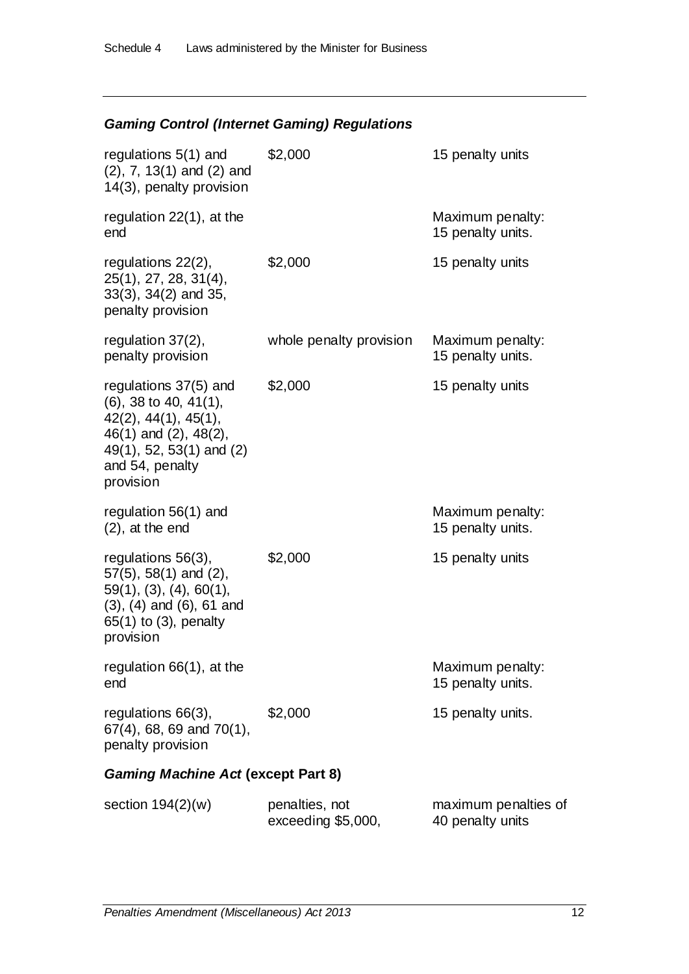### *Gaming Control (Internet Gaming) Regulations*

| regulations 5(1) and<br>$(2)$ , 7, 13 $(1)$ and $(2)$ and<br>14(3), penalty provision                                                                                       | \$2,000                              | 15 penalty units                         |
|-----------------------------------------------------------------------------------------------------------------------------------------------------------------------------|--------------------------------------|------------------------------------------|
| regulation 22(1), at the<br>end                                                                                                                                             |                                      | Maximum penalty:<br>15 penalty units.    |
| regulations 22(2),<br>25(1), 27, 28, 31(4),<br>$33(3)$ , $34(2)$ and $35$ ,<br>penalty provision                                                                            | \$2,000                              | 15 penalty units                         |
| regulation $37(2)$ ,<br>penalty provision                                                                                                                                   | whole penalty provision              | Maximum penalty:<br>15 penalty units.    |
| regulations 37(5) and<br>$(6)$ , 38 to 40, 41 $(1)$ ,<br>$42(2)$ , $44(1)$ , $45(1)$ ,<br>46(1) and (2), 48(2),<br>49(1), 52, 53(1) and (2)<br>and 54, penalty<br>provision | \$2,000                              | 15 penalty units                         |
| regulation 56(1) and<br>$(2)$ , at the end                                                                                                                                  |                                      | Maximum penalty:<br>15 penalty units.    |
| regulations 56(3),<br>$57(5)$ , $58(1)$ and $(2)$ ,<br>$59(1)$ , $(3)$ , $(4)$ , $60(1)$ ,<br>$(3)$ , $(4)$ and $(6)$ , $61$ and<br>65(1) to (3), penalty<br>provision      | \$2,000                              | 15 penalty units                         |
| regulation 66(1), at the<br>end                                                                                                                                             |                                      | Maximum penalty:<br>15 penalty units.    |
| regulations 66(3),<br>$67(4)$ , 68, 69 and $70(1)$ ,<br>penalty provision                                                                                                   | \$2,000                              | 15 penalty units.                        |
| <b>Gaming Machine Act (except Part 8)</b>                                                                                                                                   |                                      |                                          |
| section $194(2)(w)$                                                                                                                                                         | penalties, not<br>exceeding \$5,000, | maximum penalties of<br>40 penalty units |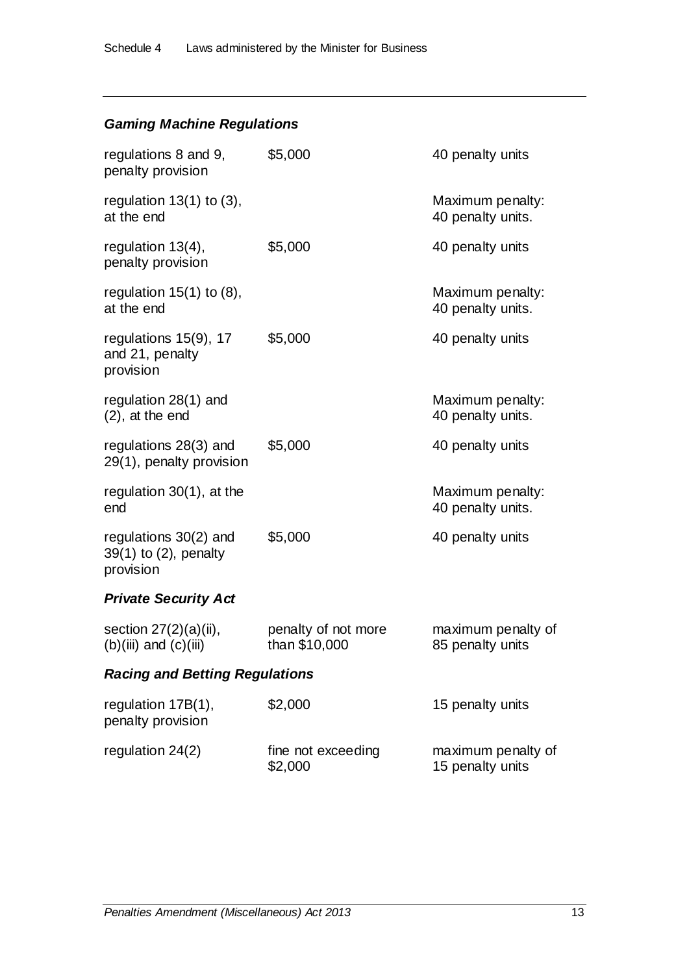## *Gaming Machine Regulations*

| regulations 8 and 9,<br>penalty provision                     | \$5,000                              | 40 penalty units                       |
|---------------------------------------------------------------|--------------------------------------|----------------------------------------|
| regulation $13(1)$ to $(3)$ ,<br>at the end                   |                                      | Maximum penalty:<br>40 penalty units.  |
| regulation 13(4),<br>penalty provision                        | \$5,000                              | 40 penalty units                       |
| regulation $15(1)$ to $(8)$ ,<br>at the end                   |                                      | Maximum penalty:<br>40 penalty units.  |
| regulations 15(9), 17<br>and 21, penalty<br>provision         | \$5,000                              | 40 penalty units                       |
| regulation 28(1) and<br>$(2)$ , at the end                    |                                      | Maximum penalty:<br>40 penalty units.  |
| regulations 28(3) and<br>29(1), penalty provision             | \$5,000                              | 40 penalty units                       |
| regulation $30(1)$ , at the<br>end                            |                                      | Maximum penalty:<br>40 penalty units.  |
| regulations $30(2)$ and<br>39(1) to (2), penalty<br>provision | \$5,000                              | 40 penalty units                       |
| <b>Private Security Act</b>                                   |                                      |                                        |
| section $27(2)(a)(ii)$ ,<br>$(b)(iii)$ and $(c)(iii)$         | penalty of not more<br>than \$10,000 | maximum penalty of<br>85 penalty units |
| <b>Racing and Betting Regulations</b>                         |                                      |                                        |

| regulation $17B(1)$ ,<br>penalty provision | \$2,000                       | 15 penalty units                       |
|--------------------------------------------|-------------------------------|----------------------------------------|
| regulation $24(2)$                         | fine not exceeding<br>\$2,000 | maximum penalty of<br>15 penalty units |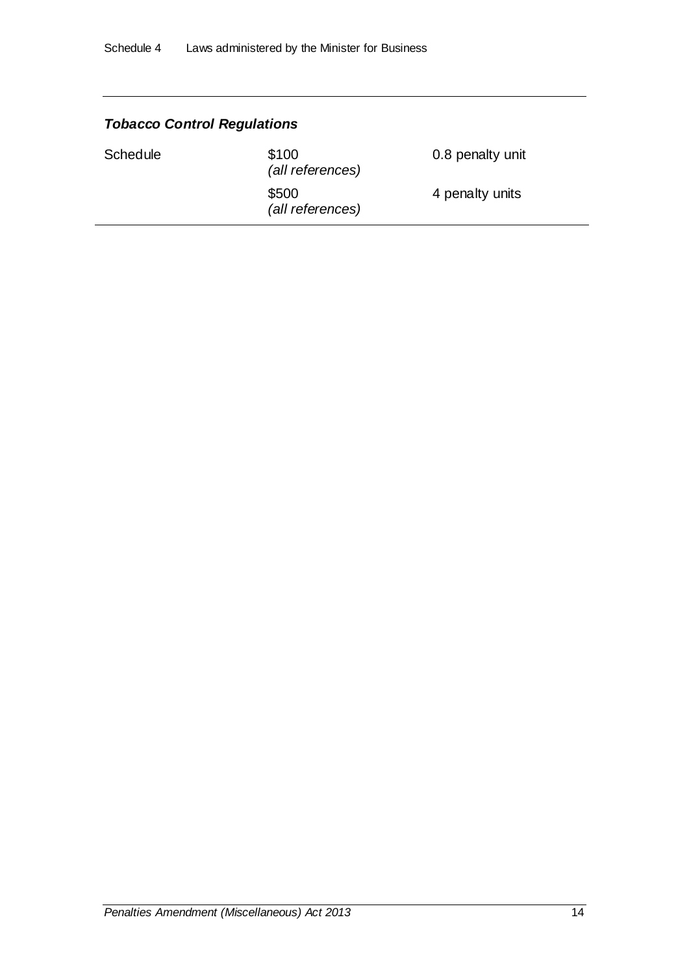| <b>Tobacco Control Regulations</b> |                           |                  |
|------------------------------------|---------------------------|------------------|
| <b>Schedule</b>                    | \$100<br>(all references) | 0.8 penalty unit |
|                                    | \$500<br>(all references) | 4 penalty units  |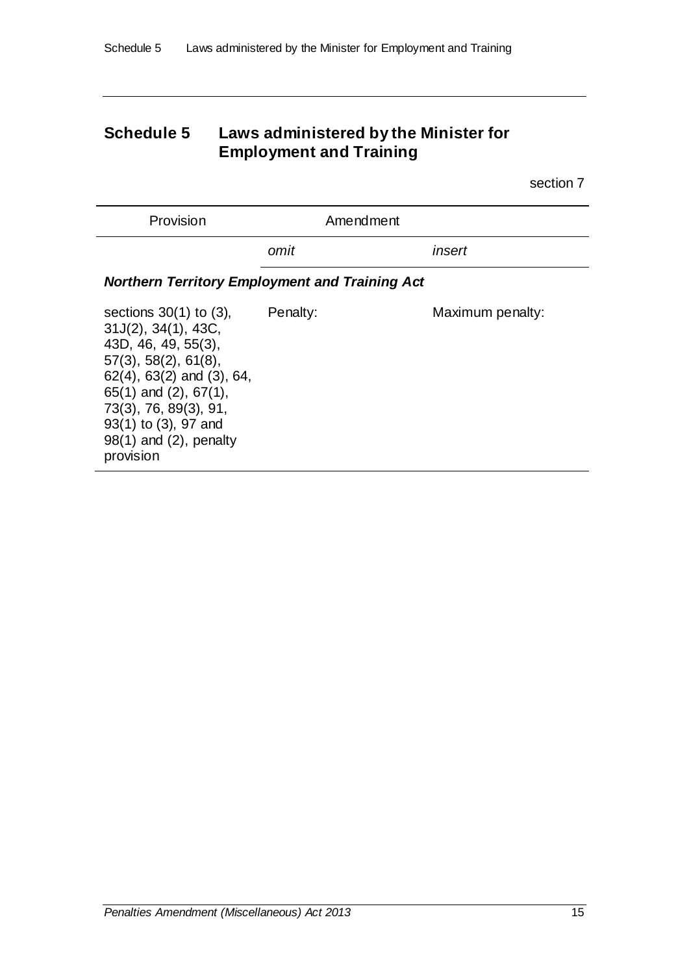## **Schedule 5 Laws administered by the Minister for Employment and Training**

| Provision                                                                                                                                                                                                                                                                                 | Amendment                                             |                  |
|-------------------------------------------------------------------------------------------------------------------------------------------------------------------------------------------------------------------------------------------------------------------------------------------|-------------------------------------------------------|------------------|
|                                                                                                                                                                                                                                                                                           | omit                                                  | insert           |
|                                                                                                                                                                                                                                                                                           | <b>Northern Territory Employment and Training Act</b> |                  |
| sections $30(1)$ to $(3)$ ,<br>$31J(2)$ , $34(1)$ , $43C$ ,<br>43D, 46, 49, 55(3),<br>$57(3)$ , $58(2)$ , $61(8)$ ,<br>$62(4)$ , $63(2)$ and $(3)$ , $64$ ,<br>$65(1)$ and $(2)$ , $67(1)$ ,<br>73(3), 76, 89(3), 91,<br>93(1) to (3), 97 and<br>$98(1)$ and $(2)$ , penalty<br>provision | Penalty:                                              | Maximum penalty: |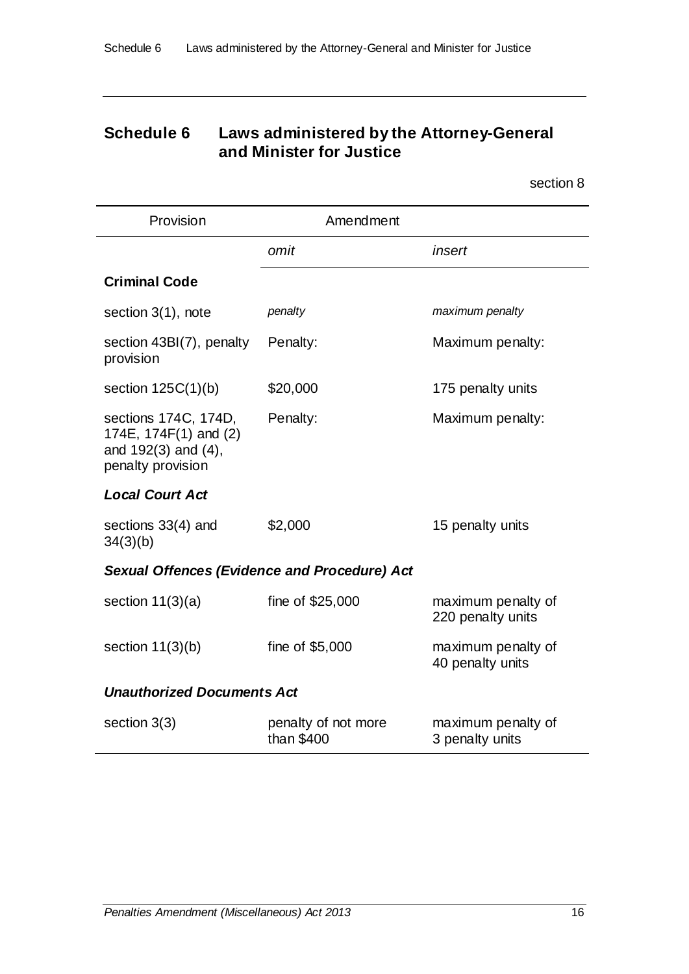## **Schedule 6 Laws administered by the Attorney-General and Minister for Justice**

| Provision                                                                                 | Amendment                                           |                                         |
|-------------------------------------------------------------------------------------------|-----------------------------------------------------|-----------------------------------------|
|                                                                                           | omit                                                | insert                                  |
| <b>Criminal Code</b>                                                                      |                                                     |                                         |
| section 3(1), note                                                                        | penalty                                             | maximum penalty                         |
| section 43BI(7), penalty<br>provision                                                     | Penalty:                                            | Maximum penalty:                        |
| section $125C(1)(b)$                                                                      | \$20,000                                            | 175 penalty units                       |
| sections 174C, 174D,<br>174E, 174F(1) and (2)<br>and 192(3) and (4),<br>penalty provision | Penalty:                                            | Maximum penalty:                        |
| <b>Local Court Act</b>                                                                    |                                                     |                                         |
| sections 33(4) and<br>34(3)(b)                                                            | \$2,000                                             | 15 penalty units                        |
|                                                                                           | <b>Sexual Offences (Evidence and Procedure) Act</b> |                                         |
| section $11(3)(a)$                                                                        | fine of \$25,000                                    | maximum penalty of<br>220 penalty units |
| section $11(3)(b)$                                                                        | fine of \$5,000                                     | maximum penalty of<br>40 penalty units  |
| <b>Unauthorized Documents Act</b>                                                         |                                                     |                                         |
| section $3(3)$                                                                            | penalty of not more<br>than \$400                   | maximum penalty of<br>3 penalty units   |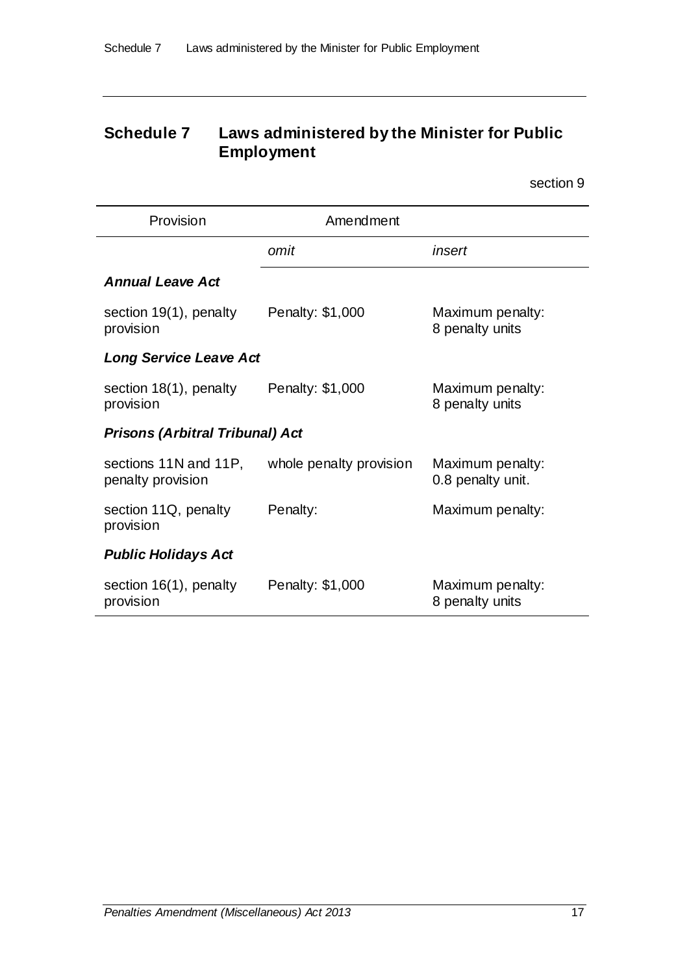## **Schedule 7 Laws administered by the Minister for Public Employment**

| Provision                                  | Amendment               |                                       |
|--------------------------------------------|-------------------------|---------------------------------------|
|                                            | omit                    | insert                                |
| <b>Annual Leave Act</b>                    |                         |                                       |
| section 19(1), penalty<br>provision        | Penalty: \$1,000        | Maximum penalty:<br>8 penalty units   |
| <b>Long Service Leave Act</b>              |                         |                                       |
| section 18(1), penalty<br>provision        | Penalty: \$1,000        | Maximum penalty:<br>8 penalty units   |
| <b>Prisons (Arbitral Tribunal) Act</b>     |                         |                                       |
| sections 11N and 11P,<br>penalty provision | whole penalty provision | Maximum penalty:<br>0.8 penalty unit. |
| section 11Q, penalty<br>provision          | Penalty:                | Maximum penalty:                      |
| <b>Public Holidays Act</b>                 |                         |                                       |
| section 16(1), penalty<br>provision        | Penalty: \$1,000        | Maximum penalty:<br>8 penalty units   |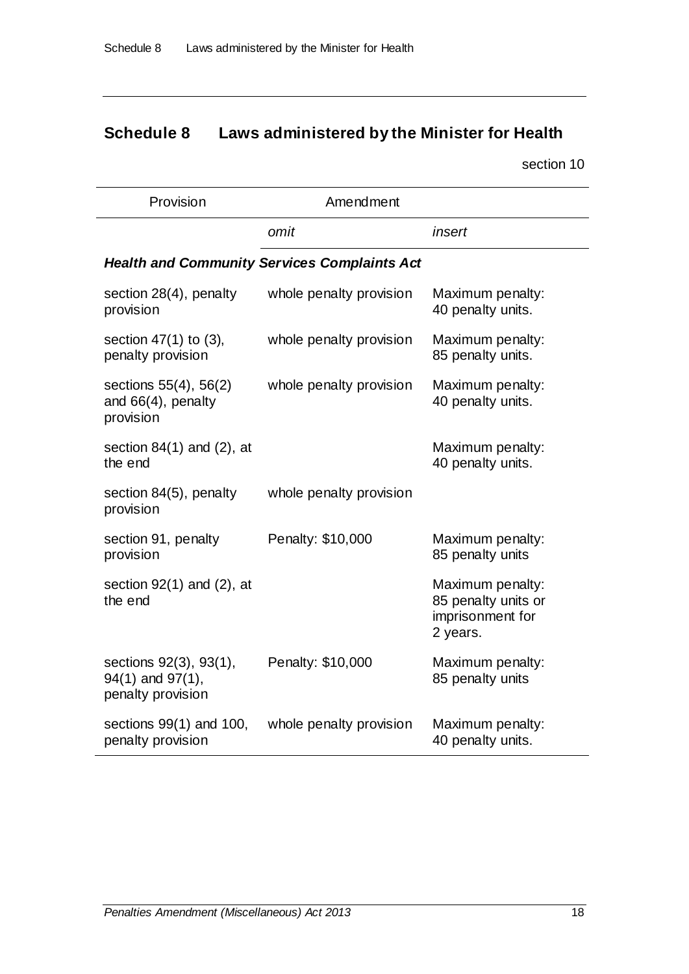# **Schedule 8 Laws administered by the Minister for Health**

| Provision                                                       | Amendment                                           |                                                                         |
|-----------------------------------------------------------------|-----------------------------------------------------|-------------------------------------------------------------------------|
|                                                                 | omit                                                | insert                                                                  |
|                                                                 | <b>Health and Community Services Complaints Act</b> |                                                                         |
| section $28(4)$ , penalty<br>provision                          | whole penalty provision                             | Maximum penalty:<br>40 penalty units.                                   |
| section $47(1)$ to $(3)$ ,<br>penalty provision                 | whole penalty provision                             | Maximum penalty:<br>85 penalty units.                                   |
| sections 55(4), 56(2)<br>and $66(4)$ , penalty<br>provision     | whole penalty provision                             | Maximum penalty:<br>40 penalty units.                                   |
| section $84(1)$ and $(2)$ , at<br>the end                       |                                                     | Maximum penalty:<br>40 penalty units.                                   |
| section 84(5), penalty<br>provision                             | whole penalty provision                             |                                                                         |
| section 91, penalty<br>provision                                | Penalty: \$10,000                                   | Maximum penalty:<br>85 penalty units                                    |
| section $92(1)$ and $(2)$ , at<br>the end                       |                                                     | Maximum penalty:<br>85 penalty units or<br>imprisonment for<br>2 years. |
| sections 92(3), 93(1),<br>94(1) and 97(1),<br>penalty provision | Penalty: \$10,000                                   | Maximum penalty:<br>85 penalty units                                    |
| sections $99(1)$ and 100,<br>penalty provision                  | whole penalty provision                             | Maximum penalty:<br>40 penalty units.                                   |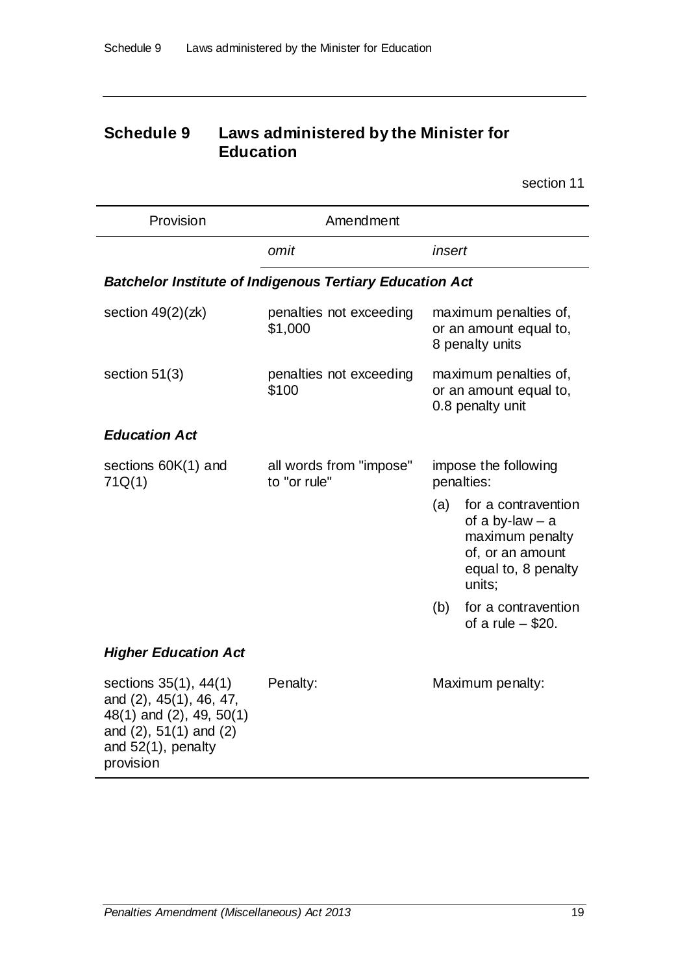## **Schedule 9 Laws administered by the Minister for Education**

| Provision                                                                                                                                         | Amendment                                                       |                                                                                                                         |  |
|---------------------------------------------------------------------------------------------------------------------------------------------------|-----------------------------------------------------------------|-------------------------------------------------------------------------------------------------------------------------|--|
|                                                                                                                                                   | omit                                                            | insert                                                                                                                  |  |
|                                                                                                                                                   | <b>Batchelor Institute of Indigenous Tertiary Education Act</b> |                                                                                                                         |  |
| section $49(2)(zk)$                                                                                                                               | penalties not exceeding<br>\$1,000                              | maximum penalties of,<br>or an amount equal to,<br>8 penalty units                                                      |  |
| section $51(3)$                                                                                                                                   | penalties not exceeding<br>\$100                                | maximum penalties of,<br>or an amount equal to,<br>0.8 penalty unit                                                     |  |
| <b>Education Act</b>                                                                                                                              |                                                                 |                                                                                                                         |  |
| sections 60K(1) and<br>71Q(1)                                                                                                                     | all words from "impose"<br>to "or rule"                         | impose the following<br>penalties:                                                                                      |  |
|                                                                                                                                                   |                                                                 | (a)<br>for a contravention<br>of a by-law $-$ a<br>maximum penalty<br>of, or an amount<br>equal to, 8 penalty<br>units; |  |
|                                                                                                                                                   |                                                                 | for a contravention<br>(b)<br>of a rule $-$ \$20.                                                                       |  |
| <b>Higher Education Act</b>                                                                                                                       |                                                                 |                                                                                                                         |  |
| sections 35(1), 44(1)<br>and (2), 45(1), 46, 47,<br>48(1) and (2), 49, 50(1)<br>and $(2)$ , 51 $(1)$ and $(2)$<br>and 52(1), penalty<br>provision | Penalty:                                                        | Maximum penalty:                                                                                                        |  |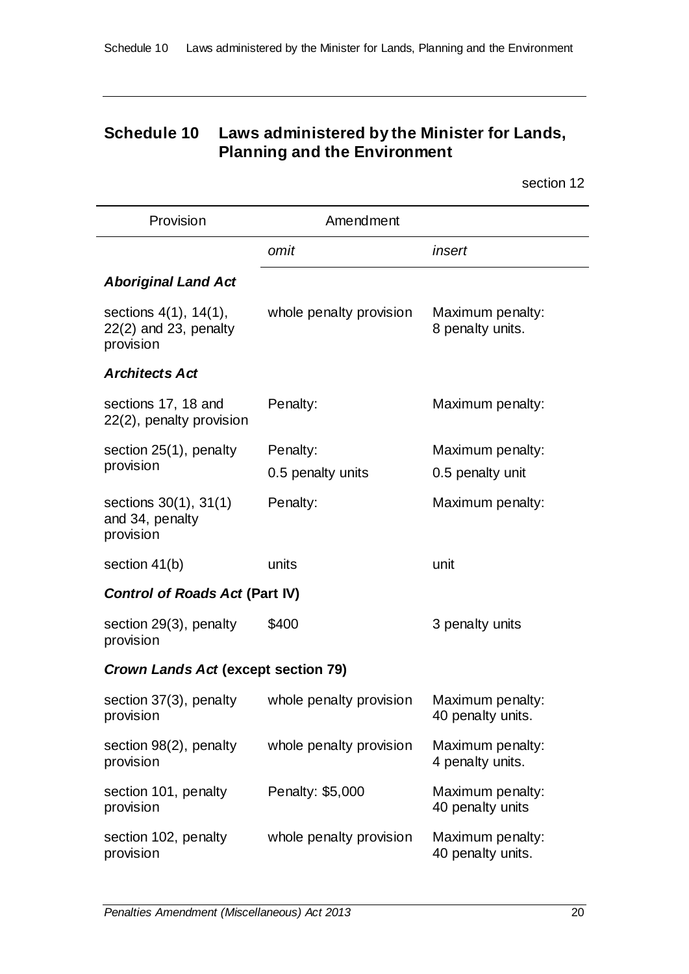## **Schedule 10 Laws administered by the Minister for Lands, Planning and the Environment**

| Provision                                                           | Amendment                     |                                       |
|---------------------------------------------------------------------|-------------------------------|---------------------------------------|
|                                                                     | omit                          | insert                                |
| <b>Aboriginal Land Act</b>                                          |                               |                                       |
| sections $4(1)$ , $14(1)$ ,<br>$22(2)$ and 23, penalty<br>provision | whole penalty provision       | Maximum penalty:<br>8 penalty units.  |
| <b>Architects Act</b>                                               |                               |                                       |
| sections 17, 18 and<br>22(2), penalty provision                     | Penalty:                      | Maximum penalty:                      |
| section 25(1), penalty<br>provision                                 | Penalty:<br>0.5 penalty units | Maximum penalty:<br>0.5 penalty unit  |
| sections 30(1), 31(1)<br>and 34, penalty<br>provision               | Penalty:                      | Maximum penalty:                      |
| section 41(b)                                                       | units                         | unit                                  |
| <b>Control of Roads Act (Part IV)</b>                               |                               |                                       |
| section 29(3), penalty<br>provision                                 | \$400                         | 3 penalty units                       |
| <b>Crown Lands Act (except section 79)</b>                          |                               |                                       |
| section 37(3), penalty<br>provision                                 | whole penalty provision       | Maximum penalty:<br>40 penalty units. |
| section 98(2), penalty<br>provision                                 | whole penalty provision       | Maximum penalty:<br>4 penalty units.  |
| section 101, penalty<br>provision                                   | Penalty: \$5,000              | Maximum penalty:<br>40 penalty units  |
| section 102, penalty<br>provision                                   | whole penalty provision       | Maximum penalty:<br>40 penalty units. |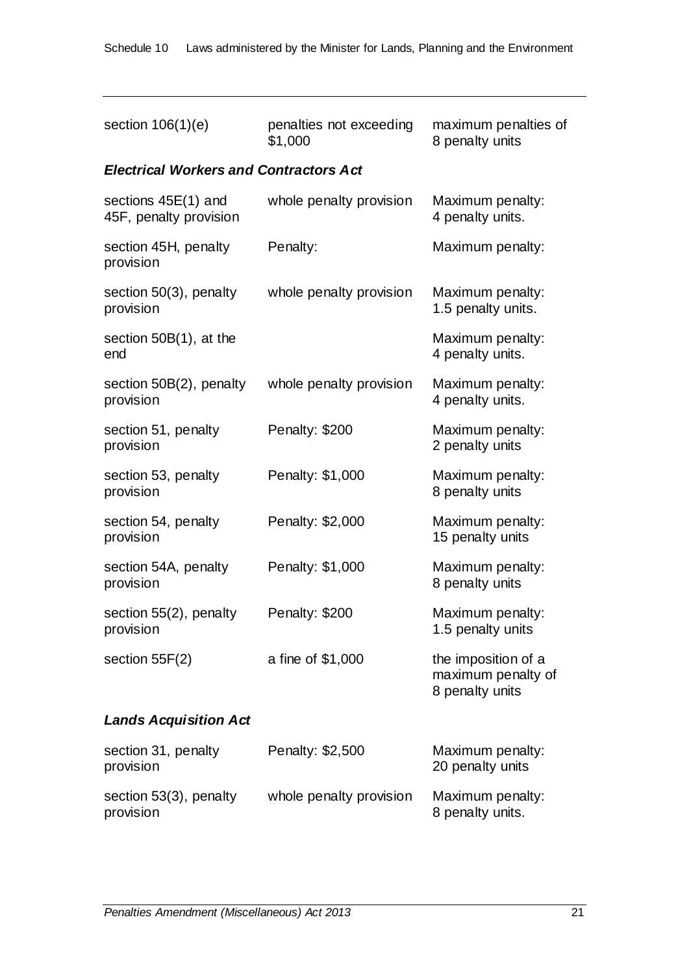| section $106(1)(e)$                             | penalties not exceeding<br>\$1,000 | maximum penalties of<br>8 penalty units                      |
|-------------------------------------------------|------------------------------------|--------------------------------------------------------------|
| <b>Electrical Workers and Contractors Act</b>   |                                    |                                                              |
| sections $45E(1)$ and<br>45F, penalty provision | whole penalty provision            | Maximum penalty:<br>4 penalty units.                         |
| section 45H, penalty<br>provision               | Penalty:                           | Maximum penalty:                                             |
| section $50(3)$ , penalty<br>provision          | whole penalty provision            | Maximum penalty:<br>1.5 penalty units.                       |
| section $50B(1)$ , at the<br>end                |                                    | Maximum penalty:<br>4 penalty units.                         |
| section 50B(2), penalty<br>provision            | whole penalty provision            | Maximum penalty:<br>4 penalty units.                         |
| section 51, penalty<br>provision                | Penalty: \$200                     | Maximum penalty:<br>2 penalty units                          |
| section 53, penalty<br>provision                | Penalty: \$1,000                   | Maximum penalty:<br>8 penalty units                          |
| section 54, penalty<br>provision                | Penalty: \$2,000                   | Maximum penalty:<br>15 penalty units                         |
| section 54A, penalty<br>provision               | Penalty: \$1,000                   | Maximum penalty:<br>8 penalty units                          |
| section 55(2), penalty<br>provision             | Penalty: \$200                     | Maximum penalty:<br>1.5 penalty units                        |
| section $55F(2)$                                | a fine of \$1,000                  | the imposition of a<br>maximum penalty of<br>8 penalty units |
| <b>Lands Acquisition Act</b>                    |                                    |                                                              |
| section 31, penalty<br>provision                | Penalty: \$2,500                   | Maximum penalty:<br>20 penalty units                         |
| section 53(3), penalty<br>provision             | whole penalty provision            | Maximum penalty:<br>8 penalty units.                         |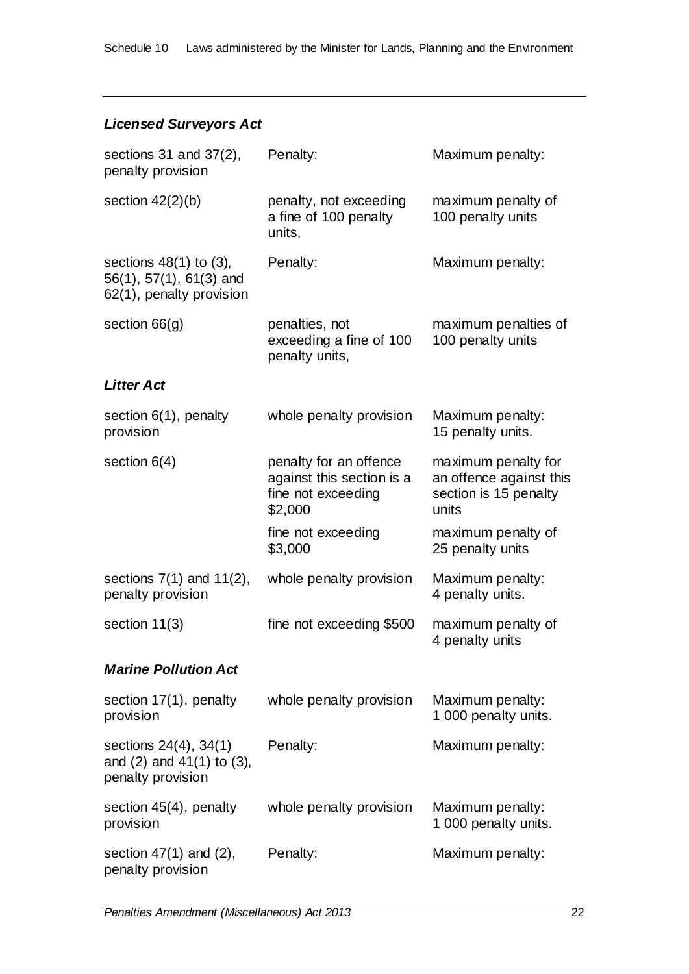### *Licensed Surveyors Act*

| sections $31$ and $37(2)$ ,<br>penalty provision                                           | Penalty:                                                                             | Maximum penalty:                                                                 |
|--------------------------------------------------------------------------------------------|--------------------------------------------------------------------------------------|----------------------------------------------------------------------------------|
| section $42(2)(b)$                                                                         | penalty, not exceeding<br>a fine of 100 penalty<br>units,                            | maximum penalty of<br>100 penalty units                                          |
| sections $48(1)$ to $(3)$ ,<br>$56(1)$ , $57(1)$ , $61(3)$ and<br>62(1), penalty provision | Penalty:                                                                             | Maximum penalty:                                                                 |
| section $66(g)$                                                                            | penalties, not<br>exceeding a fine of 100<br>penalty units,                          | maximum penalties of<br>100 penalty units                                        |
| <b>Litter Act</b>                                                                          |                                                                                      |                                                                                  |
| section $6(1)$ , penalty<br>provision                                                      | whole penalty provision                                                              | Maximum penalty:<br>15 penalty units.                                            |
| section $6(4)$                                                                             | penalty for an offence<br>against this section is a<br>fine not exceeding<br>\$2,000 | maximum penalty for<br>an offence against this<br>section is 15 penalty<br>units |
|                                                                                            | fine not exceeding<br>\$3,000                                                        | maximum penalty of<br>25 penalty units                                           |
| sections $7(1)$ and $11(2)$ ,<br>penalty provision                                         | whole penalty provision                                                              | Maximum penalty:<br>4 penalty units.                                             |
| section $11(3)$                                                                            | fine not exceeding \$500                                                             | maximum penalty of<br>4 penalty units                                            |
| <b>Marine Pollution Act</b>                                                                |                                                                                      |                                                                                  |
| section 17(1), penalty<br>provision                                                        | whole penalty provision                                                              | Maximum penalty:<br>1 000 penalty units.                                         |
| sections 24(4), 34(1)<br>and $(2)$ and $41(1)$ to $(3)$ ,<br>penalty provision             | Penalty:                                                                             | Maximum penalty:                                                                 |
| section 45(4), penalty<br>provision                                                        | whole penalty provision                                                              | Maximum penalty:<br>1 000 penalty units.                                         |
| section $47(1)$ and $(2)$ ,<br>penalty provision                                           | Penalty:                                                                             | Maximum penalty:                                                                 |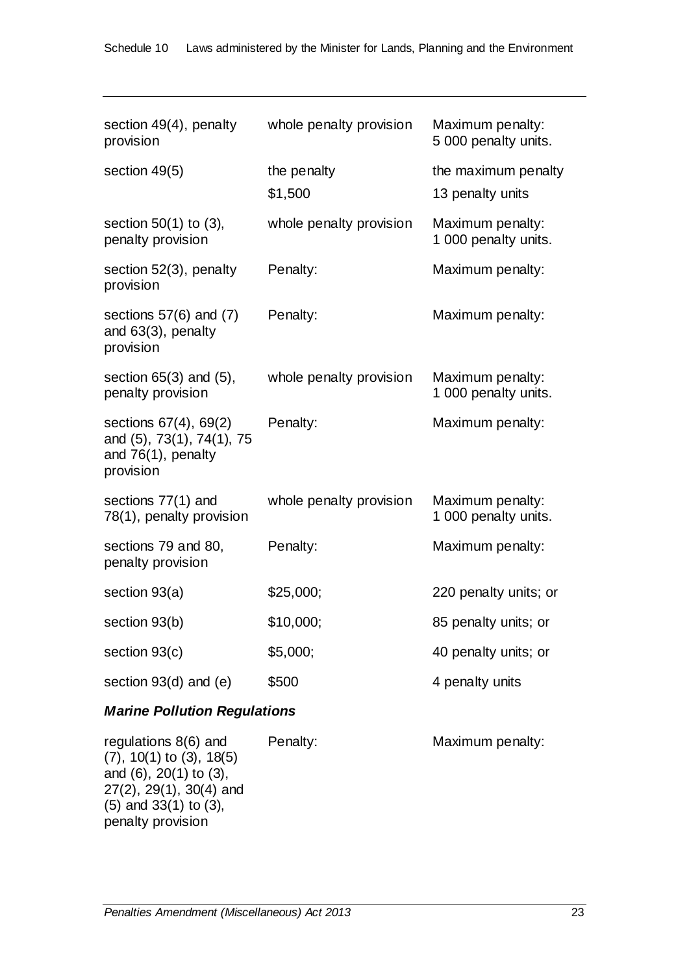| section 49(4), penalty<br>provision                                                   | whole penalty provision | Maximum penalty:<br>5 000 penalty units. |
|---------------------------------------------------------------------------------------|-------------------------|------------------------------------------|
| section 49(5)                                                                         | the penalty<br>\$1,500  | the maximum penalty<br>13 penalty units  |
| section $50(1)$ to $(3)$ ,<br>penalty provision                                       | whole penalty provision | Maximum penalty:<br>1 000 penalty units. |
| section 52(3), penalty<br>provision                                                   | Penalty:                | Maximum penalty:                         |
| sections $57(6)$ and $(7)$<br>and 63(3), penalty<br>provision                         | Penalty:                | Maximum penalty:                         |
| section $65(3)$ and $(5)$ ,<br>penalty provision                                      | whole penalty provision | Maximum penalty:<br>1 000 penalty units. |
| sections 67(4), 69(2)<br>and (5), 73(1), 74(1), 75<br>and 76(1), penalty<br>provision | Penalty:                | Maximum penalty:                         |
| sections 77(1) and<br>78(1), penalty provision                                        | whole penalty provision | Maximum penalty:<br>1 000 penalty units. |
| sections 79 and 80,<br>penalty provision                                              | Penalty:                | Maximum penalty:                         |
| section 93(a)                                                                         | \$25,000;               | 220 penalty units; or                    |
| section 93(b)                                                                         | \$10,000;               | 85 penalty units; or                     |
| section 93(c)                                                                         | \$5,000;                | 40 penalty units; or                     |
| section $93(d)$ and (e)                                                               | \$500                   | 4 penalty units                          |
|                                                                                       |                         |                                          |

## *Marine Pollution Regulations*

| regulations $8(6)$ and          | Penalty: | Maximum penalty: |
|---------------------------------|----------|------------------|
| $(7), 10(1)$ to $(3), 18(5)$    |          |                  |
| and $(6)$ , $20(1)$ to $(3)$ ,  |          |                  |
| $27(2)$ , $29(1)$ , $30(4)$ and |          |                  |
| $(5)$ and 33 $(1)$ to $(3)$ ,   |          |                  |
| penalty provision               |          |                  |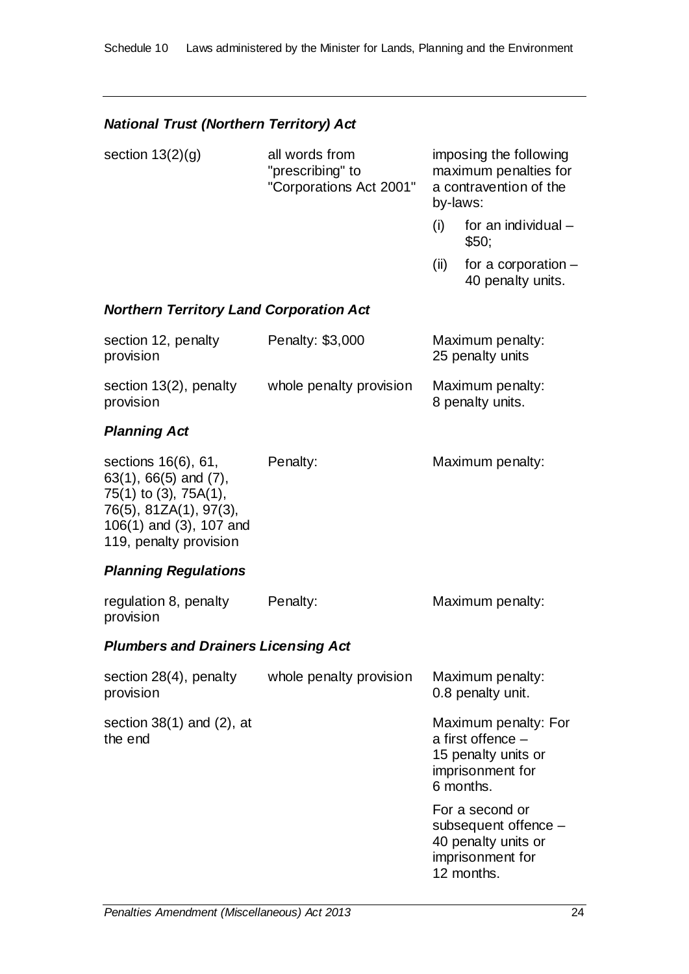### *National Trust (Northern Territory) Act*

| section $13(2)(g)$ | all words from<br>"prescribing" to<br>"Corporations Act 2001" |      | imposing the following<br>maximum penalties for<br>a contravention of the<br>by-laws: |
|--------------------|---------------------------------------------------------------|------|---------------------------------------------------------------------------------------|
|                    |                                                               |      | for an individual -<br>\$50;                                                          |
|                    |                                                               | (II) | for a corporation -<br>40 penalty units.                                              |

#### *Northern Territory Land Corporation Act*

| section 12, penalty<br>provision    | Penalty: \$3,000        | Maximum penalty:<br>25 penalty units |
|-------------------------------------|-------------------------|--------------------------------------|
| section 13(2), penalty<br>provision | whole penalty provision | Maximum penalty:<br>8 penalty units. |

#### *Planning Act*

| sections 16(6), 61,           | Penalty: | Maximum penalty: |
|-------------------------------|----------|------------------|
| $63(1)$ , $66(5)$ and $(7)$ , |          |                  |
| 75(1) to (3), 75A(1),         |          |                  |
| 76(5), 81ZA(1), 97(3),        |          |                  |
| $106(1)$ and $(3)$ , 107 and  |          |                  |
| 119, penalty provision        |          |                  |

#### *Planning Regulations*

| regulation 8, penalty<br>provision         | Penalty:                | Maximum penalty:                                                                       |
|--------------------------------------------|-------------------------|----------------------------------------------------------------------------------------|
| <b>Plumbers and Drainers Licensing Act</b> |                         |                                                                                        |
| section $28(4)$ , penalty<br>provision     | whole penalty provision | Maximum penalty:<br>0.8 penalty unit.                                                  |
| section $38(1)$ and $(2)$ , at<br>the end  |                         | Maximum penalty: For<br>a first offence $-$<br>15 penalty units or<br>imprisonment for |

For a second or subsequent offence – 40 penalty units or imprisonment for 12 months.

6 months.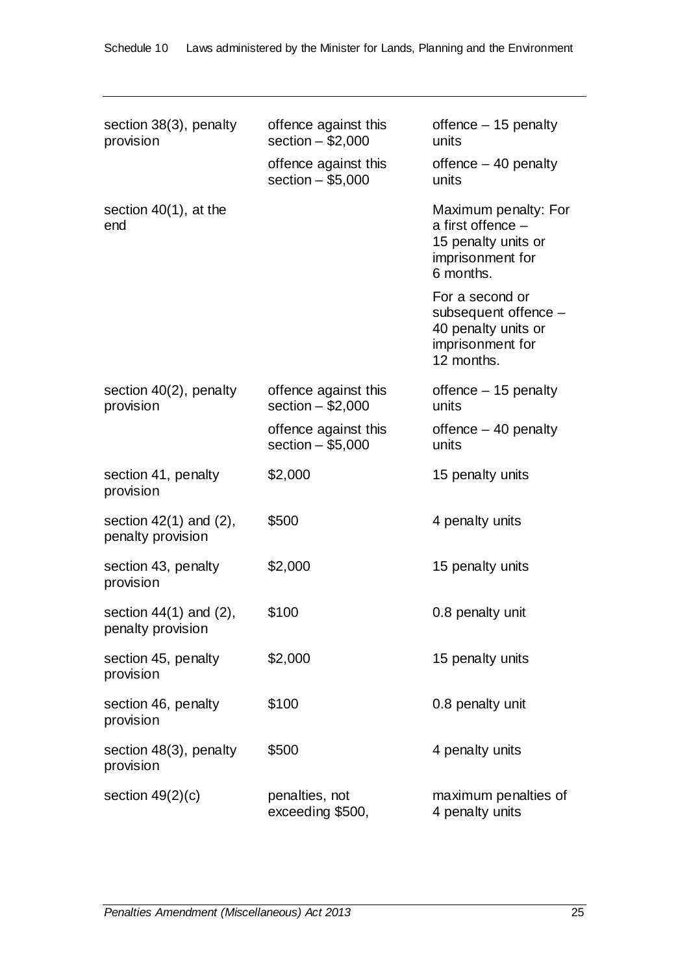| section 38(3), penalty<br>provision              | offence against this<br>section $-$ \$2,000<br>offence against this<br>section $-$ \$5,000 | offence $-15$ penalty<br>units<br>offence $-40$ penalty<br>units                                  |
|--------------------------------------------------|--------------------------------------------------------------------------------------------|---------------------------------------------------------------------------------------------------|
| section $40(1)$ , at the<br>end                  |                                                                                            | Maximum penalty: For<br>a first offence -<br>15 penalty units or<br>imprisonment for<br>6 months. |
|                                                  |                                                                                            | For a second or<br>subsequent offence -<br>40 penalty units or<br>imprisonment for<br>12 months.  |
| section 40(2), penalty<br>provision              | offence against this<br>section $-$ \$2,000                                                | offence $-15$ penalty<br>units                                                                    |
|                                                  | offence against this<br>section $-$ \$5,000                                                | offence $-40$ penalty<br>units                                                                    |
| section 41, penalty<br>provision                 | \$2,000                                                                                    | 15 penalty units                                                                                  |
| section $42(1)$ and $(2)$ ,<br>penalty provision | \$500                                                                                      | 4 penalty units                                                                                   |
| section 43, penalty<br>provision                 | \$2,000                                                                                    | 15 penalty units                                                                                  |
| section $44(1)$ and $(2)$ ,<br>penalty provision | \$100                                                                                      | 0.8 penalty unit                                                                                  |
| section 45, penalty<br>provision                 | \$2,000                                                                                    | 15 penalty units                                                                                  |
| section 46, penalty<br>provision                 | \$100                                                                                      | 0.8 penalty unit                                                                                  |
| section 48(3), penalty<br>provision              | \$500                                                                                      | 4 penalty units                                                                                   |
| section $49(2)(c)$                               | penalties, not<br>exceeding \$500,                                                         | maximum penalties of<br>4 penalty units                                                           |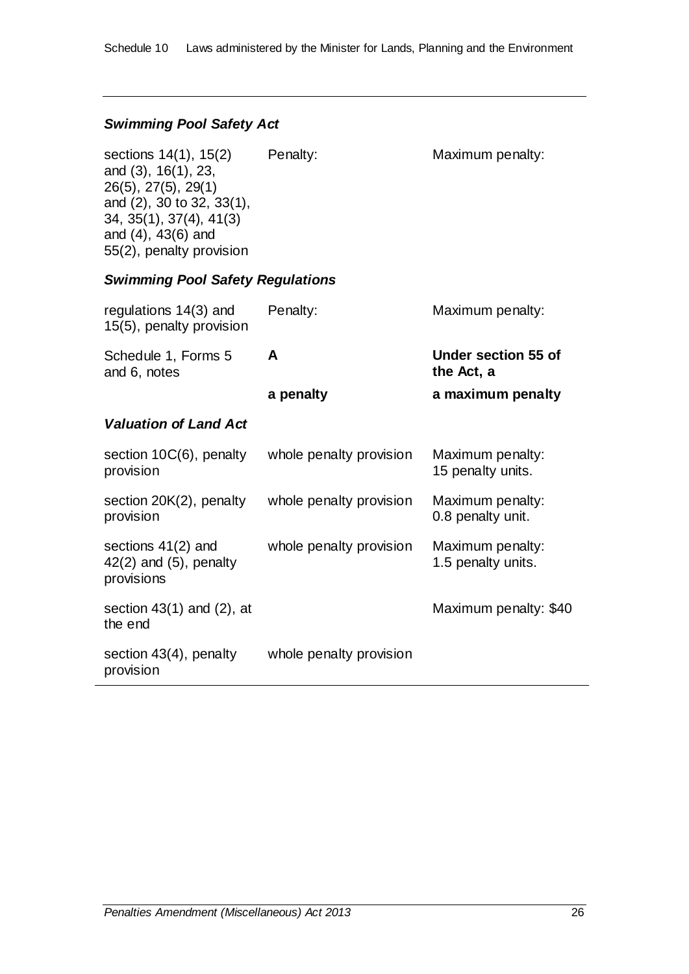#### *Swimming Pool Safety Act*

sections 14(1), 15(2) and (3), 16(1), 23, 26(5), 27(5), 29(1) and (2), 30 to 32, 33(1), 34, 35(1), 37(4), 41(3) and (4), 43(6) and 55(2), penalty provision

Penalty: Maximum penalty:

#### *Swimming Pool Safety Regulations*

| regulations 14(3) and<br>15(5), penalty provision                 | Penalty:                | Maximum penalty:                       |
|-------------------------------------------------------------------|-------------------------|----------------------------------------|
| Schedule 1, Forms 5<br>and 6, notes                               | A                       | Under section 55 of<br>the Act, a      |
|                                                                   | a penalty               | a maximum penalty                      |
| <b>Valuation of Land Act</b>                                      |                         |                                        |
| section 10C(6), penalty<br>provision                              | whole penalty provision | Maximum penalty:<br>15 penalty units.  |
| section 20K(2), penalty<br>provision                              | whole penalty provision | Maximum penalty:<br>0.8 penalty unit.  |
| sections $41(2)$ and<br>$42(2)$ and $(5)$ , penalty<br>provisions | whole penalty provision | Maximum penalty:<br>1.5 penalty units. |
| section $43(1)$ and $(2)$ , at<br>the end                         |                         | Maximum penalty: \$40                  |
| section $43(4)$ , penalty<br>provision                            | whole penalty provision |                                        |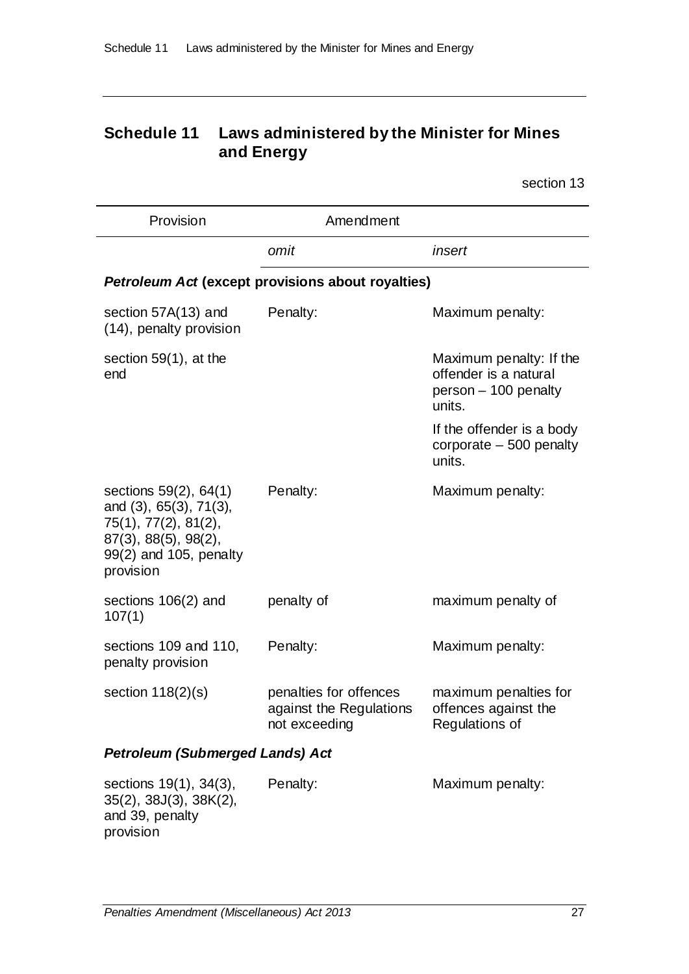# **Schedule 11 Laws administered by the Minister for Mines and Energy**

section 13

| Provision                                                                                                                              | Amendment                                                          |                                                                                    |
|----------------------------------------------------------------------------------------------------------------------------------------|--------------------------------------------------------------------|------------------------------------------------------------------------------------|
|                                                                                                                                        | omit                                                               | insert                                                                             |
|                                                                                                                                        | <b>Petroleum Act (except provisions about royalties)</b>           |                                                                                    |
| section 57A(13) and<br>(14), penalty provision                                                                                         | Penalty:                                                           | Maximum penalty:                                                                   |
| section $59(1)$ , at the<br>end                                                                                                        |                                                                    | Maximum penalty: If the<br>offender is a natural<br>person - 100 penalty<br>units. |
|                                                                                                                                        |                                                                    | If the offender is a body<br>corporate $-500$ penalty<br>units.                    |
| sections 59(2), 64(1)<br>and (3), 65(3), 71(3),<br>75(1), 77(2), 81(2),<br>87(3), 88(5), 98(2),<br>99(2) and 105, penalty<br>provision | Penalty:                                                           | Maximum penalty:                                                                   |
| sections 106(2) and<br>107(1)                                                                                                          | penalty of                                                         | maximum penalty of                                                                 |
| sections 109 and 110,<br>penalty provision                                                                                             | Penalty:                                                           | Maximum penalty:                                                                   |
| section $118(2)(s)$                                                                                                                    | penalties for offences<br>against the Regulations<br>not exceeding | maximum penalties for<br>offences against the<br>Regulations of                    |
| <b>Petroleum (Submerged Lands) Act</b>                                                                                                 |                                                                    |                                                                                    |
| sections 19(1), 34(3),<br>$35(2)$ , $38J(3)$ , $38K(2)$ ,<br>and 39, penalty                                                           | Penalty:                                                           | Maximum penalty:                                                                   |

provision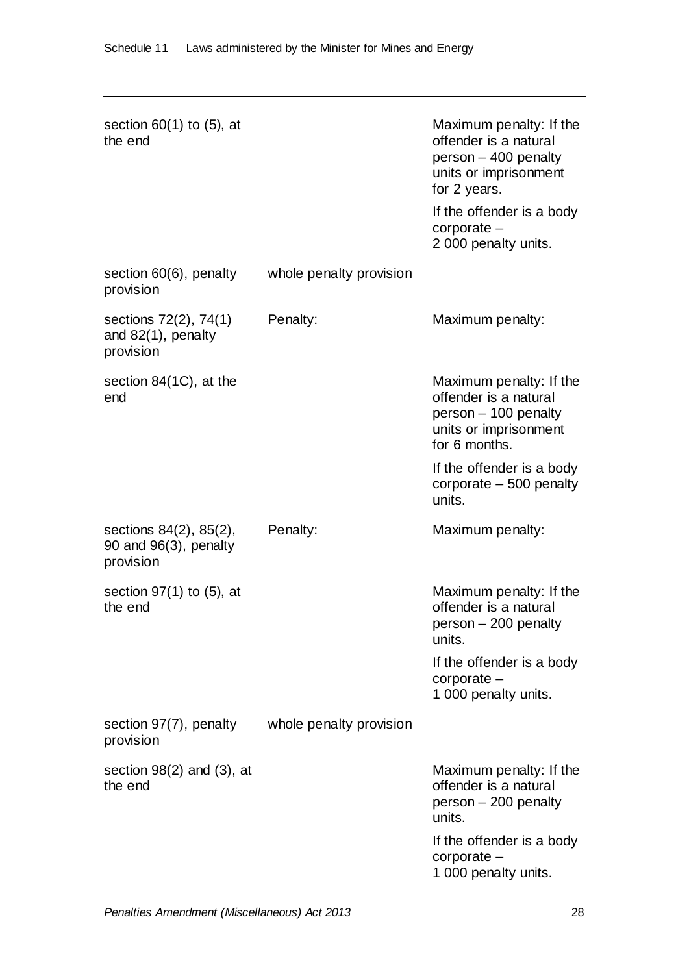| section $60(1)$ to $(5)$ , at<br>the end                        |                         | Maximum penalty: If the<br>offender is a natural<br>person - 400 penalty<br>units or imprisonment<br>for 2 years.<br>If the offender is a body<br>corporate -<br>2 000 penalty units. |
|-----------------------------------------------------------------|-------------------------|---------------------------------------------------------------------------------------------------------------------------------------------------------------------------------------|
| section 60(6), penalty<br>provision                             | whole penalty provision |                                                                                                                                                                                       |
| sections 72(2), 74(1)<br>and $82(1)$ , penalty<br>provision     | Penalty:                | Maximum penalty:                                                                                                                                                                      |
| section 84(1C), at the<br>end                                   |                         | Maximum penalty: If the<br>offender is a natural<br>person - 100 penalty<br>units or imprisonment<br>for 6 months.                                                                    |
|                                                                 |                         | If the offender is a body<br>corporate $-500$ penalty<br>units.                                                                                                                       |
| sections 84(2), 85(2),<br>90 and $96(3)$ , penalty<br>provision | Penalty:                | Maximum penalty:                                                                                                                                                                      |
| section $97(1)$ to $(5)$ , at<br>the end                        |                         | Maximum penalty: If the<br>offender is a natural<br>person - 200 penalty<br>units.                                                                                                    |
|                                                                 |                         | If the offender is a body<br>corporate -<br>1 000 penalty units.                                                                                                                      |
| section 97(7), penalty<br>provision                             | whole penalty provision |                                                                                                                                                                                       |
| section $98(2)$ and $(3)$ , at<br>the end                       |                         | Maximum penalty: If the<br>offender is a natural<br>person - 200 penalty<br>units.                                                                                                    |
|                                                                 |                         | If the offender is a body<br>corporate -<br>1 000 penalty units.                                                                                                                      |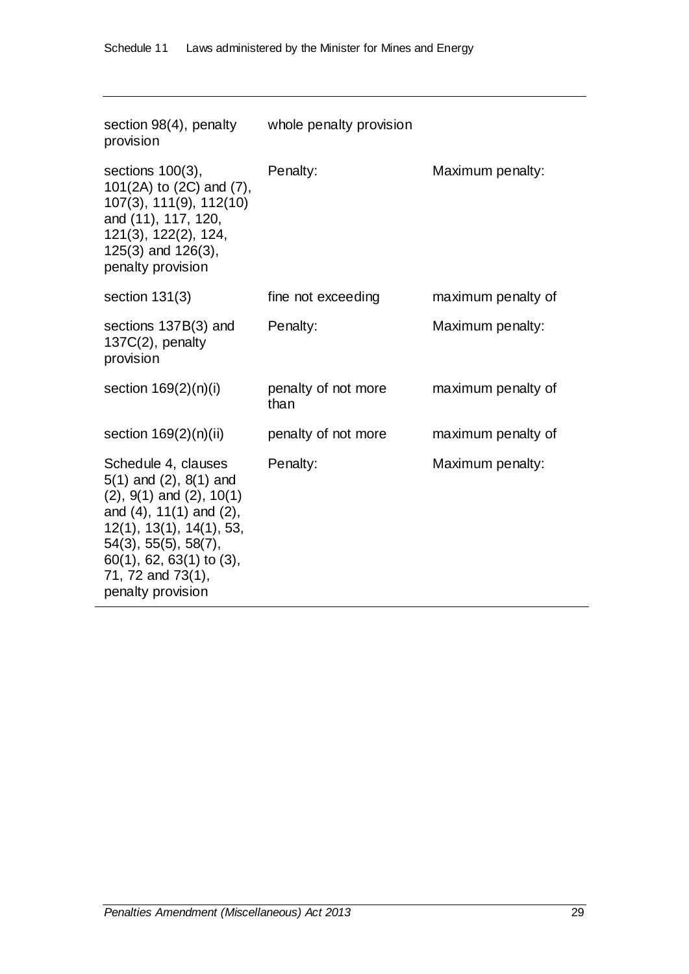| section 98(4), penalty whole penalty provision<br>provision                                                                                                                                                                                           |                             |                    |
|-------------------------------------------------------------------------------------------------------------------------------------------------------------------------------------------------------------------------------------------------------|-----------------------------|--------------------|
| sections $100(3)$ ,<br>101(2A) to (2C) and (7),<br>107(3), 111(9), 112(10)<br>and (11), 117, 120,<br>121(3), 122(2), 124,<br>$125(3)$ and $126(3)$ ,<br>penalty provision                                                                             | Penalty:                    | Maximum penalty:   |
| section $131(3)$                                                                                                                                                                                                                                      | fine not exceeding          | maximum penalty of |
| sections 137B(3) and<br>$137C(2)$ , penalty<br>provision                                                                                                                                                                                              | Penalty:                    | Maximum penalty:   |
| section $169(2)(n)(i)$                                                                                                                                                                                                                                | penalty of not more<br>than | maximum penalty of |
| section $169(2)(n)(ii)$                                                                                                                                                                                                                               | penalty of not more         | maximum penalty of |
| Schedule 4, clauses<br>$5(1)$ and $(2)$ , $8(1)$ and<br>$(2), 9(1)$ and $(2), 10(1)$<br>and $(4)$ , 11 $(1)$ and $(2)$ ,<br>12(1), 13(1), 14(1), 53,<br>54(3), 55(5), 58(7),<br>$60(1)$ , 62, 63(1) to (3),<br>71, 72 and 73(1),<br>penalty provision | Penalty:                    | Maximum penalty:   |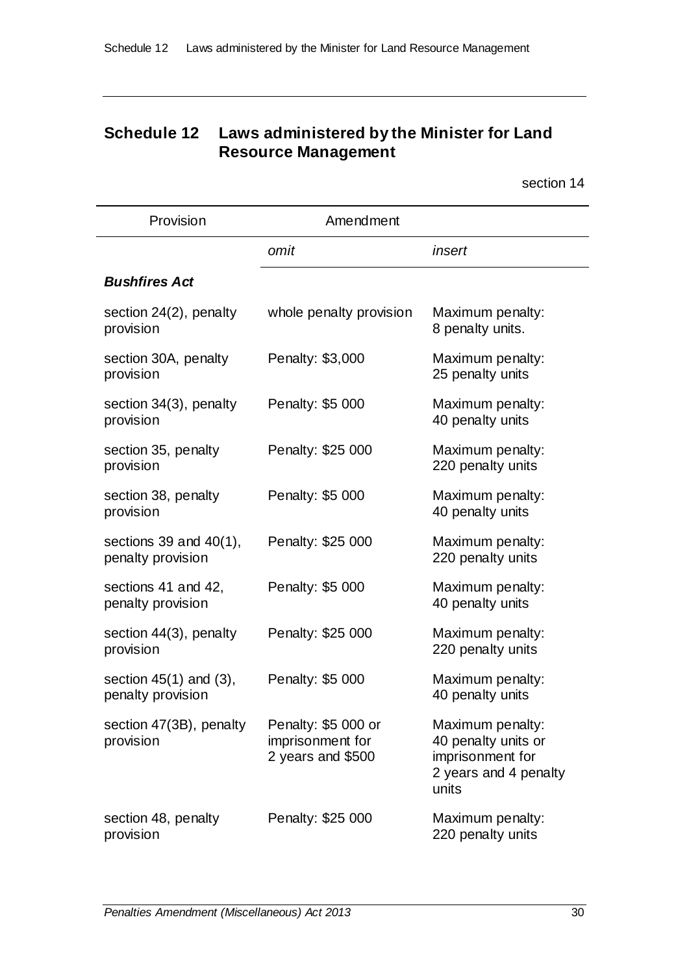# **Schedule 12 Laws administered by the Minister for Land Resource Management**

| Provision                                        | Amendment                                                    |                                                                                               |
|--------------------------------------------------|--------------------------------------------------------------|-----------------------------------------------------------------------------------------------|
|                                                  | omit                                                         | insert                                                                                        |
| <b>Bushfires Act</b>                             |                                                              |                                                                                               |
| section 24(2), penalty<br>provision              | whole penalty provision                                      | Maximum penalty:<br>8 penalty units.                                                          |
| section 30A, penalty<br>provision                | Penalty: \$3,000                                             | Maximum penalty:<br>25 penalty units                                                          |
| section 34(3), penalty<br>provision              | Penalty: \$5 000                                             | Maximum penalty:<br>40 penalty units                                                          |
| section 35, penalty<br>provision                 | Penalty: \$25 000                                            | Maximum penalty:<br>220 penalty units                                                         |
| section 38, penalty<br>provision                 | Penalty: \$5 000                                             | Maximum penalty:<br>40 penalty units                                                          |
| sections 39 and $40(1)$ ,<br>penalty provision   | Penalty: \$25 000                                            | Maximum penalty:<br>220 penalty units                                                         |
| sections 41 and 42,<br>penalty provision         | Penalty: \$5 000                                             | Maximum penalty:<br>40 penalty units                                                          |
| section 44(3), penalty<br>provision              | Penalty: \$25 000                                            | Maximum penalty:<br>220 penalty units                                                         |
| section $45(1)$ and $(3)$ ,<br>penalty provision | Penalty: \$5 000                                             | Maximum penalty:<br>40 penalty units                                                          |
| section 47(3B), penalty<br>provision             | Penalty: \$5 000 or<br>imprisonment for<br>2 years and \$500 | Maximum penalty:<br>40 penalty units or<br>imprisonment for<br>2 years and 4 penalty<br>units |
| section 48, penalty<br>provision                 | Penalty: \$25 000                                            | Maximum penalty:<br>220 penalty units                                                         |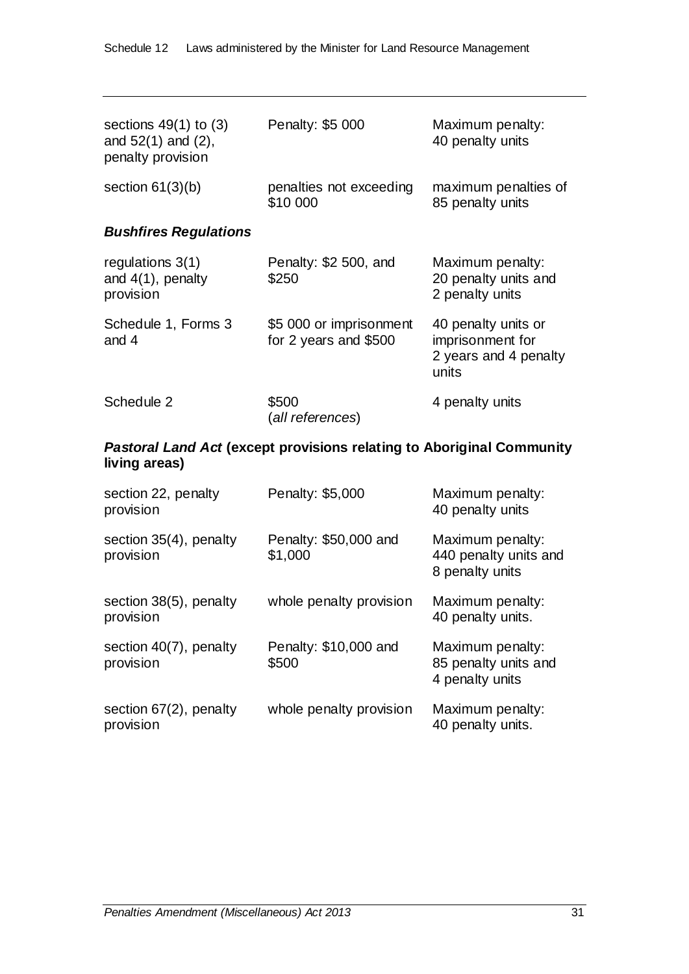| sections $49(1)$ to $(3)$<br>and $52(1)$ and $(2)$ ,<br>penalty provision | Penalty: \$5 000                                 | Maximum penalty:<br>40 penalty units                                      |
|---------------------------------------------------------------------------|--------------------------------------------------|---------------------------------------------------------------------------|
| section $61(3)(b)$                                                        | penalties not exceeding<br>\$10 000              | maximum penalties of<br>85 penalty units                                  |
| <b>Bushfires Regulations</b>                                              |                                                  |                                                                           |
| regulations $3(1)$<br>and $4(1)$ , penalty<br>provision                   | Penalty: \$2 500, and<br>\$250                   | Maximum penalty:<br>20 penalty units and<br>2 penalty units               |
| Schedule 1, Forms 3<br>and 4                                              | \$5 000 or imprisonment<br>for 2 years and \$500 | 40 penalty units or<br>imprisonment for<br>2 years and 4 penalty<br>units |
| Schedule 2                                                                | \$500<br>(all references)                        | 4 penalty units                                                           |

### *Pastoral Land Act* **(except provisions relating to Aboriginal Community living areas)**

| section 22, penalty<br>provision       | Penalty: \$5,000                 | Maximum penalty:<br>40 penalty units                         |
|----------------------------------------|----------------------------------|--------------------------------------------------------------|
| section 35(4), penalty<br>provision    | Penalty: \$50,000 and<br>\$1,000 | Maximum penalty:<br>440 penalty units and<br>8 penalty units |
| section 38(5), penalty<br>provision    | whole penalty provision          | Maximum penalty:<br>40 penalty units.                        |
| section 40(7), penalty<br>provision    | Penalty: \$10,000 and<br>\$500   | Maximum penalty:<br>85 penalty units and<br>4 penalty units  |
| section $67(2)$ , penalty<br>provision | whole penalty provision          | Maximum penalty:<br>40 penalty units.                        |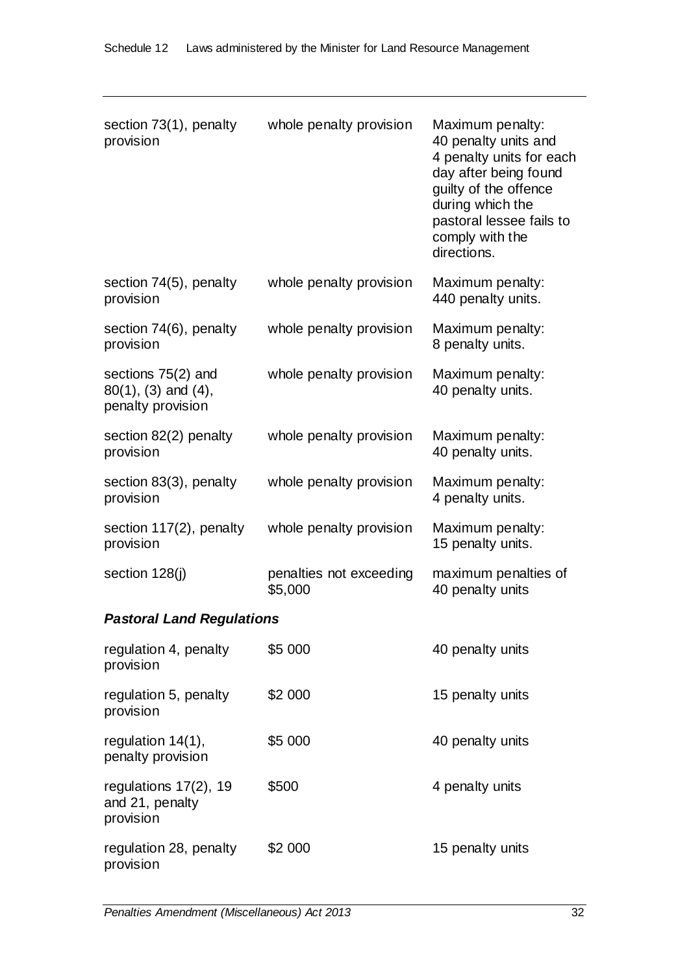| section 73(1), penalty<br>provision                                    | whole penalty provision            | Maximum penalty:<br>40 penalty units and<br>4 penalty units for each<br>day after being found<br>guilty of the offence<br>during which the<br>pastoral lessee fails to<br>comply with the<br>directions. |
|------------------------------------------------------------------------|------------------------------------|----------------------------------------------------------------------------------------------------------------------------------------------------------------------------------------------------------|
| section 74(5), penalty<br>provision                                    | whole penalty provision            | Maximum penalty:<br>440 penalty units.                                                                                                                                                                   |
| section 74(6), penalty<br>provision                                    | whole penalty provision            | Maximum penalty:<br>8 penalty units.                                                                                                                                                                     |
| sections 75(2) and<br>$80(1)$ , $(3)$ and $(4)$ ,<br>penalty provision | whole penalty provision            | Maximum penalty:<br>40 penalty units.                                                                                                                                                                    |
| section 82(2) penalty<br>provision                                     | whole penalty provision            | Maximum penalty:<br>40 penalty units.                                                                                                                                                                    |
| section 83(3), penalty<br>provision                                    | whole penalty provision            | Maximum penalty:<br>4 penalty units.                                                                                                                                                                     |
| section 117(2), penalty<br>provision                                   | whole penalty provision            | Maximum penalty:<br>15 penalty units.                                                                                                                                                                    |
| section $128(j)$                                                       | penalties not exceeding<br>\$5,000 | maximum penalties of<br>40 penalty units                                                                                                                                                                 |
| <b>Pastoral Land Regulations</b>                                       |                                    |                                                                                                                                                                                                          |
| regulation 4, penalty<br>provision                                     | \$5 000                            | 40 penalty units                                                                                                                                                                                         |
| regulation 5, penalty<br>provision                                     | \$2 000                            | 15 penalty units                                                                                                                                                                                         |
| regulation 14(1),<br>penalty provision                                 | \$5 000                            | 40 penalty units                                                                                                                                                                                         |
| regulations 17(2), 19<br>and 21, penalty<br>provision                  | \$500                              | 4 penalty units                                                                                                                                                                                          |
| regulation 28, penalty<br>provision                                    | \$2 000                            | 15 penalty units                                                                                                                                                                                         |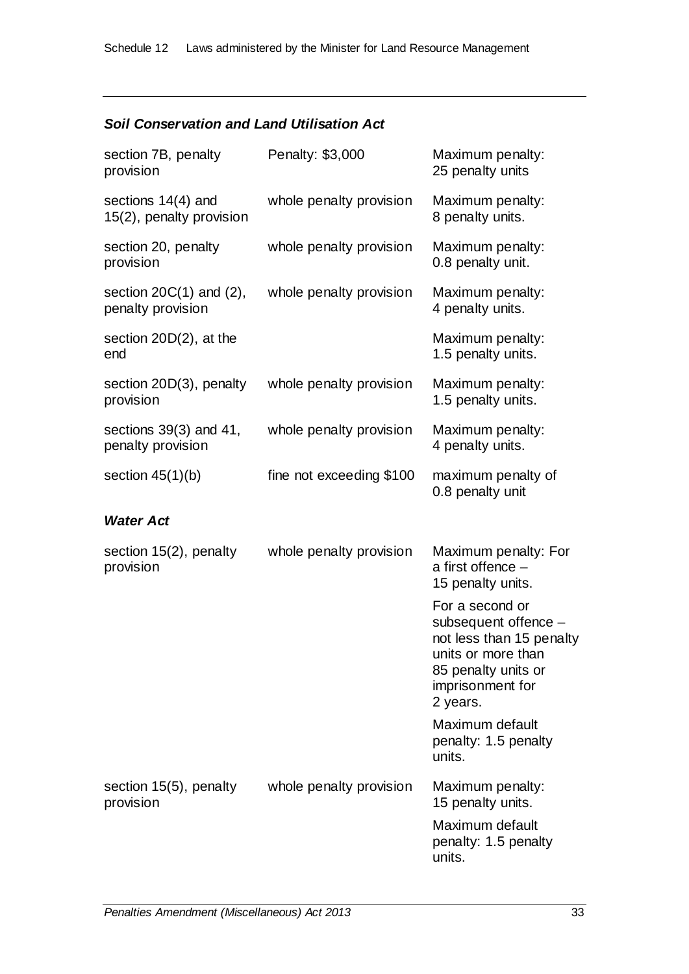### *Soil Conservation and Land Utilisation Act*

| section 7B, penalty<br>provision                  | Penalty: \$3,000         | Maximum penalty:<br>25 penalty units                                                                                                             |
|---------------------------------------------------|--------------------------|--------------------------------------------------------------------------------------------------------------------------------------------------|
| sections $14(4)$ and<br>15(2), penalty provision  | whole penalty provision  | Maximum penalty:<br>8 penalty units.                                                                                                             |
| section 20, penalty<br>provision                  | whole penalty provision  | Maximum penalty:<br>0.8 penalty unit.                                                                                                            |
| section $20C(1)$ and $(2)$ ,<br>penalty provision | whole penalty provision  | Maximum penalty:<br>4 penalty units.                                                                                                             |
| section $20D(2)$ , at the<br>end                  |                          | Maximum penalty:<br>1.5 penalty units.                                                                                                           |
| section 20D(3), penalty<br>provision              | whole penalty provision  | Maximum penalty:<br>1.5 penalty units.                                                                                                           |
| sections $39(3)$ and $41$ ,<br>penalty provision  | whole penalty provision  | Maximum penalty:<br>4 penalty units.                                                                                                             |
| section $45(1)(b)$                                | fine not exceeding \$100 | maximum penalty of<br>0.8 penalty unit                                                                                                           |
| <b>Water Act</b>                                  |                          |                                                                                                                                                  |
| section 15(2), penalty<br>provision               | whole penalty provision  | Maximum penalty: For<br>a first offence $-$<br>15 penalty units.                                                                                 |
|                                                   |                          | For a second or<br>subsequent offence -<br>not less than 15 penalty<br>units or more than<br>85 penalty units or<br>imprisonment for<br>2 years. |
|                                                   |                          | Maximum default<br>penalty: 1.5 penalty<br>units.                                                                                                |
| section 15(5), penalty<br>provision               | whole penalty provision  | Maximum penalty:<br>15 penalty units.                                                                                                            |
|                                                   |                          | Maximum default<br>penalty: 1.5 penalty<br>units.                                                                                                |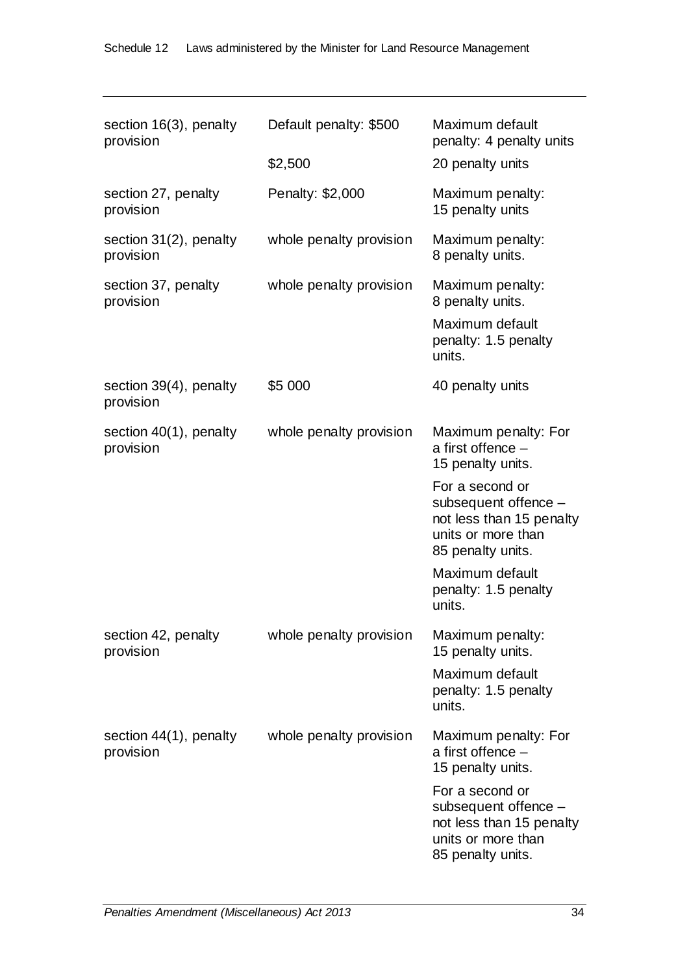| section 16(3), penalty<br>provision | Default penalty: \$500<br>\$2,500 | Maximum default<br>penalty: 4 penalty units<br>20 penalty units                                                |
|-------------------------------------|-----------------------------------|----------------------------------------------------------------------------------------------------------------|
| section 27, penalty<br>provision    | Penalty: \$2,000                  | Maximum penalty:<br>15 penalty units                                                                           |
| section 31(2), penalty<br>provision | whole penalty provision           | Maximum penalty:<br>8 penalty units.                                                                           |
| section 37, penalty<br>provision    | whole penalty provision           | Maximum penalty:<br>8 penalty units.<br>Maximum default<br>penalty: 1.5 penalty<br>units.                      |
| section 39(4), penalty<br>provision | \$5 000                           | 40 penalty units                                                                                               |
| section 40(1), penalty<br>provision | whole penalty provision           | Maximum penalty: For<br>a first offence $-$<br>15 penalty units.                                               |
|                                     |                                   | For a second or<br>subsequent offence -<br>not less than 15 penalty<br>units or more than<br>85 penalty units. |
|                                     |                                   | Maximum default<br>penalty: 1.5 penalty<br>units.                                                              |
| section 42, penalty<br>provision    | whole penalty provision           | Maximum penalty:<br>15 penalty units.                                                                          |
|                                     |                                   | Maximum default<br>penalty: 1.5 penalty<br>units.                                                              |
| section 44(1), penalty<br>provision | whole penalty provision           | Maximum penalty: For<br>a first offence $-$<br>15 penalty units.                                               |
|                                     |                                   | For a second or<br>subsequent offence -<br>not less than 15 penalty<br>units or more than<br>85 penalty units. |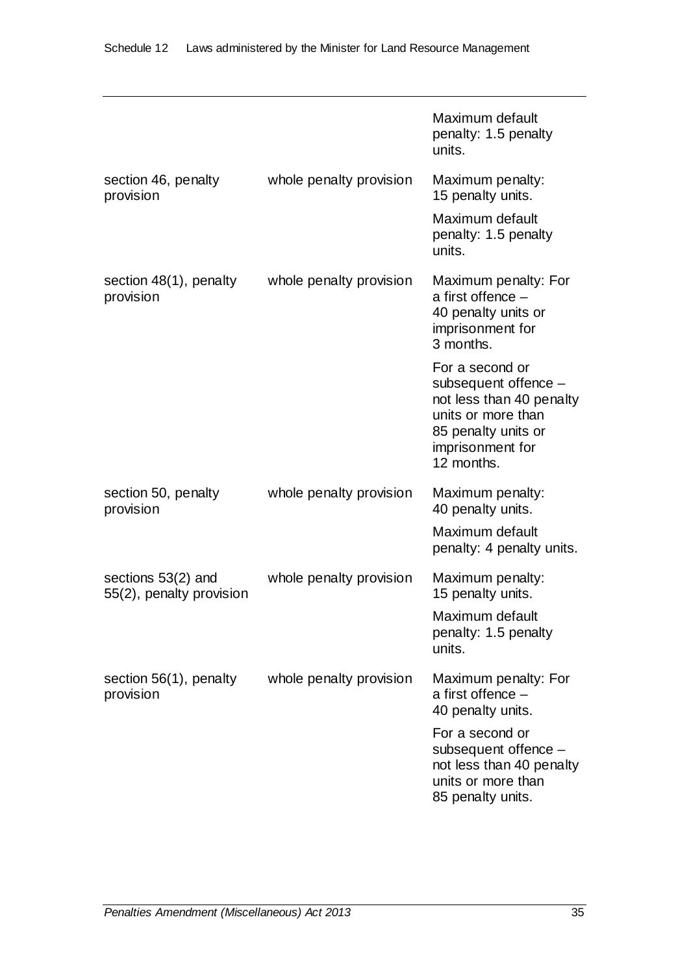|                                                |                         | Maximum default<br>penalty: 1.5 penalty<br>units.                                                                                                  |
|------------------------------------------------|-------------------------|----------------------------------------------------------------------------------------------------------------------------------------------------|
| section 46, penalty<br>provision               | whole penalty provision | Maximum penalty:<br>15 penalty units.<br>Maximum default<br>penalty: 1.5 penalty<br>units.                                                         |
| section 48(1), penalty<br>provision            | whole penalty provision | Maximum penalty: For<br>a first offence $-$<br>40 penalty units or<br>imprisonment for<br>3 months.                                                |
|                                                |                         | For a second or<br>subsequent offence -<br>not less than 40 penalty<br>units or more than<br>85 penalty units or<br>imprisonment for<br>12 months. |
| section 50, penalty<br>provision               | whole penalty provision | Maximum penalty:<br>40 penalty units.                                                                                                              |
|                                                |                         | Maximum default<br>penalty: 4 penalty units.                                                                                                       |
| sections 53(2) and<br>55(2), penalty provision | whole penalty provision | Maximum penalty:<br>15 penalty units.                                                                                                              |
|                                                |                         | Maximum default<br>penalty: 1.5 penalty<br>units.                                                                                                  |
| section $56(1)$ , penalty<br>provision         | whole penalty provision | Maximum penalty: For<br>a first offence -<br>40 penalty units.                                                                                     |
|                                                |                         | For a second or<br>subsequent offence -<br>not less than 40 penalty<br>units or more than<br>85 penalty units.                                     |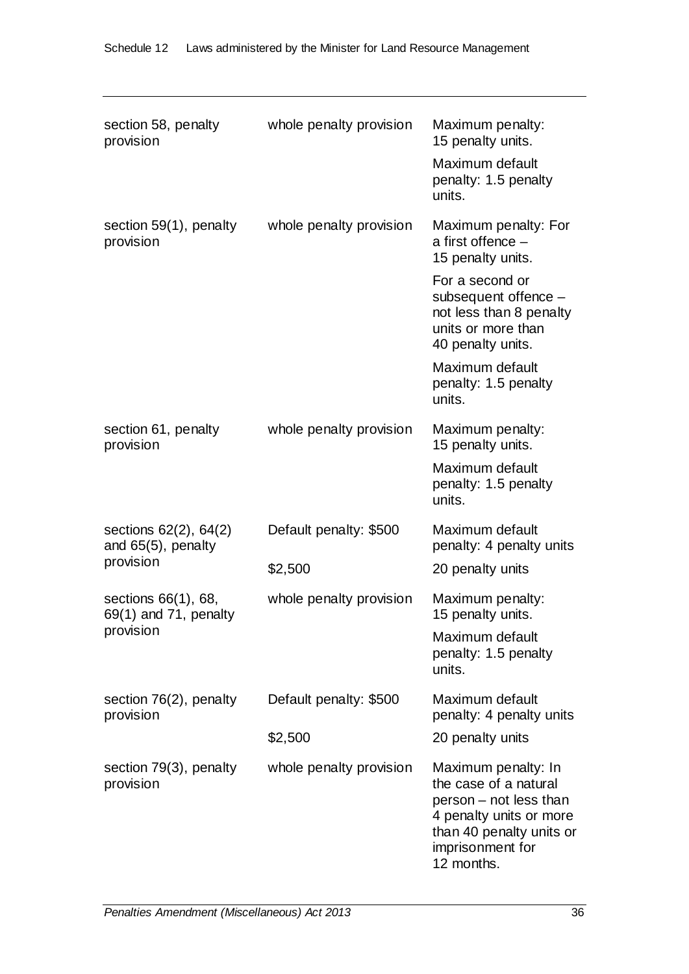| section 58, penalty<br>provision                            | whole penalty provision           | Maximum penalty:<br>15 penalty units.<br>Maximum default<br>penalty: 1.5 penalty<br>units.                                                                                                                                             |
|-------------------------------------------------------------|-----------------------------------|----------------------------------------------------------------------------------------------------------------------------------------------------------------------------------------------------------------------------------------|
| section $59(1)$ , penalty<br>provision                      | whole penalty provision           | Maximum penalty: For<br>a first offence $-$<br>15 penalty units.<br>For a second or<br>subsequent offence -<br>not less than 8 penalty<br>units or more than<br>40 penalty units.<br>Maximum default<br>penalty: 1.5 penalty<br>units. |
| section 61, penalty<br>provision                            | whole penalty provision           | Maximum penalty:<br>15 penalty units.<br>Maximum default<br>penalty: 1.5 penalty<br>units.                                                                                                                                             |
| sections 62(2), 64(2)<br>and 65(5), penalty<br>provision    | Default penalty: \$500<br>\$2,500 | Maximum default<br>penalty: 4 penalty units<br>20 penalty units                                                                                                                                                                        |
| sections 66(1), 68,<br>$69(1)$ and 71, penalty<br>provision | whole penalty provision           | Maximum penalty:<br>15 penalty units.<br>Maximum default<br>penalty: 1.5 penalty<br>units.                                                                                                                                             |
| section 76(2), penalty<br>provision                         | Default penalty: \$500<br>\$2,500 | Maximum default<br>penalty: 4 penalty units<br>20 penalty units                                                                                                                                                                        |
| section 79(3), penalty<br>provision                         | whole penalty provision           | Maximum penalty: In<br>the case of a natural<br>person - not less than<br>4 penalty units or more<br>than 40 penalty units or<br>imprisonment for<br>12 months.                                                                        |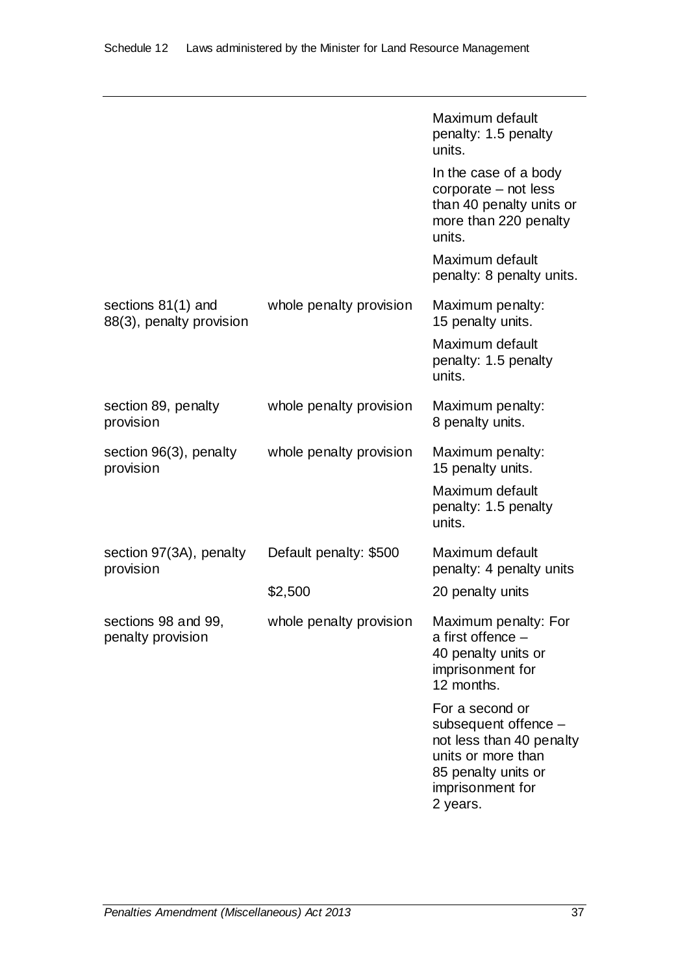|                                                  |                         | Maximum default<br>penalty: 1.5 penalty<br>units.                                                                                                |
|--------------------------------------------------|-------------------------|--------------------------------------------------------------------------------------------------------------------------------------------------|
|                                                  |                         | In the case of a body<br>corporate - not less<br>than 40 penalty units or<br>more than 220 penalty<br>units.                                     |
|                                                  |                         | Maximum default<br>penalty: 8 penalty units.                                                                                                     |
| sections $81(1)$ and<br>88(3), penalty provision | whole penalty provision | Maximum penalty:<br>15 penalty units.                                                                                                            |
|                                                  |                         | Maximum default<br>penalty: 1.5 penalty<br>units.                                                                                                |
| section 89, penalty<br>provision                 | whole penalty provision | Maximum penalty:<br>8 penalty units.                                                                                                             |
| section 96(3), penalty<br>provision              | whole penalty provision | Maximum penalty:<br>15 penalty units.                                                                                                            |
|                                                  |                         | Maximum default<br>penalty: 1.5 penalty<br>units.                                                                                                |
| section 97(3A), penalty<br>provision             | Default penalty: \$500  | Maximum default<br>penalty: 4 penalty units                                                                                                      |
|                                                  | \$2,500                 | 20 penalty units                                                                                                                                 |
| sections 98 and 99,<br>penalty provision         | whole penalty provision | Maximum penalty: For<br>a first offence -<br>40 penalty units or<br>imprisonment for<br>12 months.                                               |
|                                                  |                         | For a second or<br>subsequent offence -<br>not less than 40 penalty<br>units or more than<br>85 penalty units or<br>imprisonment for<br>2 years. |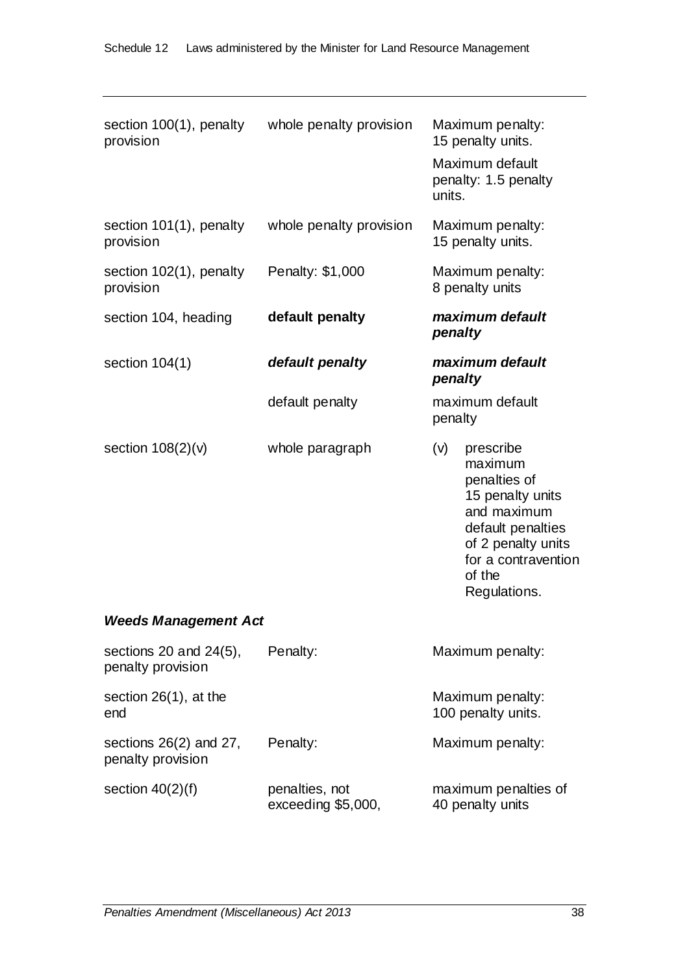| section 100(1), penalty<br>provision             | whole penalty provision              | Maximum penalty:<br>15 penalty units.                                                                                                                                      |  |
|--------------------------------------------------|--------------------------------------|----------------------------------------------------------------------------------------------------------------------------------------------------------------------------|--|
|                                                  |                                      | Maximum default<br>penalty: 1.5 penalty<br>units.                                                                                                                          |  |
| section 101(1), penalty<br>provision             | whole penalty provision              | Maximum penalty:<br>15 penalty units.                                                                                                                                      |  |
| section 102(1), penalty<br>provision             | Penalty: \$1,000                     | Maximum penalty:<br>8 penalty units                                                                                                                                        |  |
| section 104, heading                             | default penalty                      | maximum default<br>penalty                                                                                                                                                 |  |
| section $104(1)$                                 | default penalty                      | maximum default<br>penalty                                                                                                                                                 |  |
|                                                  | default penalty                      | maximum default<br>penalty                                                                                                                                                 |  |
| section $108(2)(v)$                              | whole paragraph                      | (v)<br>prescribe<br>maximum<br>penalties of<br>15 penalty units<br>and maximum<br>default penalties<br>of 2 penalty units<br>for a contravention<br>of the<br>Regulations. |  |
| <b>Weeds Management Act</b>                      |                                      |                                                                                                                                                                            |  |
| sections 20 and $24(5)$ ,<br>penalty provision   | Penalty:                             | Maximum penalty:                                                                                                                                                           |  |
| section $26(1)$ , at the<br>end                  |                                      | Maximum penalty:<br>100 penalty units.                                                                                                                                     |  |
| sections $26(2)$ and $27$ ,<br>penalty provision | Penalty:                             | Maximum penalty:                                                                                                                                                           |  |
| section $40(2)(f)$                               | penalties, not<br>exceeding \$5,000, | maximum penalties of<br>40 penalty units                                                                                                                                   |  |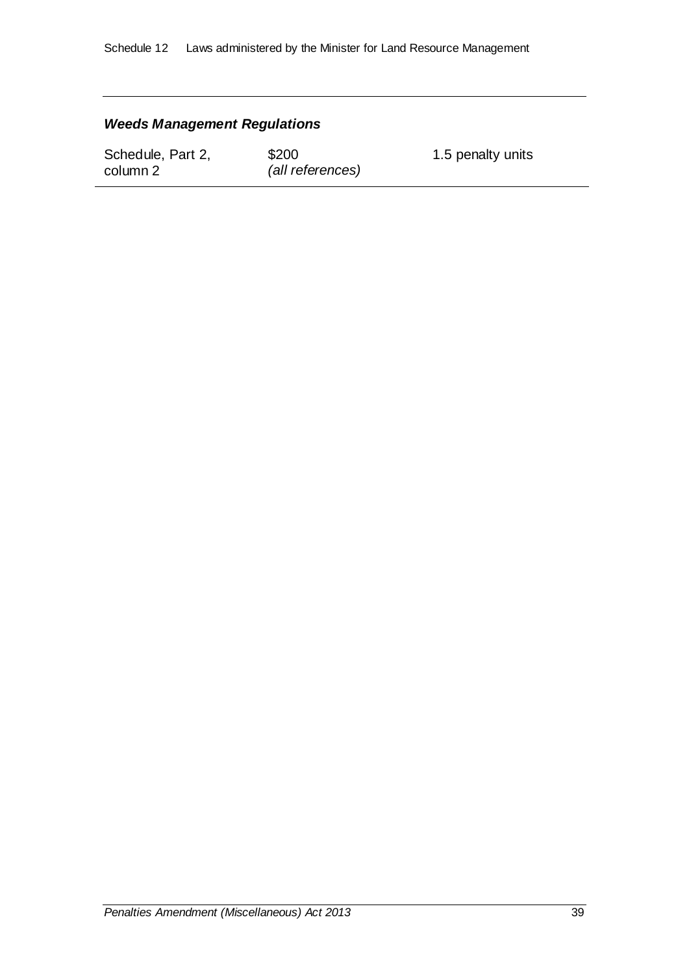#### *Weeds Management Regulations*

Schedule, Part 2, column 2

\$200 *(all references)* 1.5 penalty units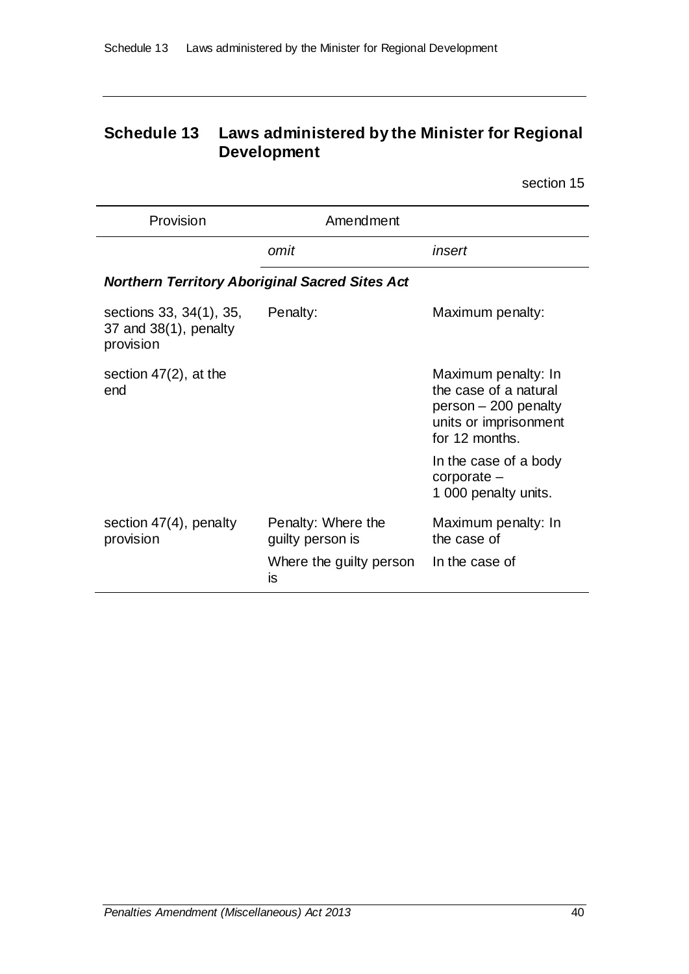# **Schedule 13 Laws administered by the Minister for Regional Development**

| Provision                                                        | Amendment                              |                                                                                                                 |
|------------------------------------------------------------------|----------------------------------------|-----------------------------------------------------------------------------------------------------------------|
|                                                                  | omit                                   | insert                                                                                                          |
| <b>Northern Territory Aboriginal Sacred Sites Act</b>            |                                        |                                                                                                                 |
| sections 33, 34(1), 35,<br>37 and $38(1)$ , penalty<br>provision | Penalty:                               | Maximum penalty:                                                                                                |
| section $47(2)$ , at the<br>end                                  |                                        | Maximum penalty: In<br>the case of a natural<br>person - 200 penalty<br>units or imprisonment<br>for 12 months. |
|                                                                  |                                        | In the case of a body<br>$corporte -$<br>1 000 penalty units.                                                   |
| section $47(4)$ , penalty<br>provision                           | Penalty: Where the<br>guilty person is | Maximum penalty: In<br>the case of                                                                              |
|                                                                  | Where the guilty person<br>is          | In the case of                                                                                                  |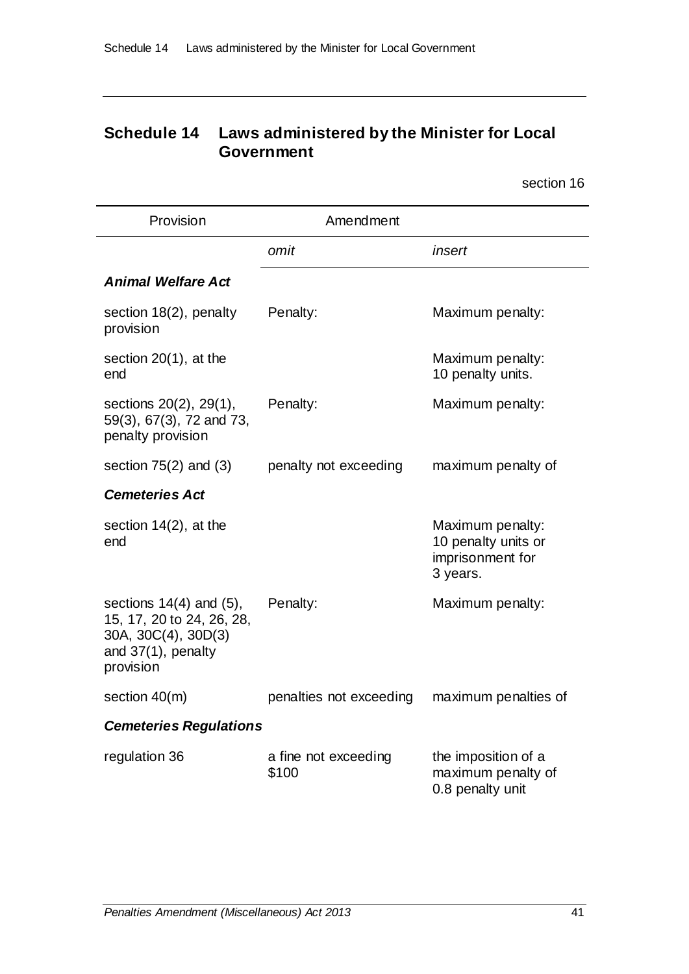## **Schedule 14 Laws administered by the Minister for Local Government**

| Provision                                                                                                              | Amendment                     |                                                                         |  |
|------------------------------------------------------------------------------------------------------------------------|-------------------------------|-------------------------------------------------------------------------|--|
|                                                                                                                        | omit                          | insert                                                                  |  |
| <b>Animal Welfare Act</b>                                                                                              |                               |                                                                         |  |
| section 18(2), penalty<br>provision                                                                                    | Penalty:                      | Maximum penalty:                                                        |  |
| section $20(1)$ , at the<br>end                                                                                        |                               | Maximum penalty:<br>10 penalty units.                                   |  |
| sections 20(2), 29(1),<br>59(3), 67(3), 72 and 73,<br>penalty provision                                                | Penalty:                      | Maximum penalty:                                                        |  |
| section $75(2)$ and $(3)$                                                                                              | penalty not exceeding         | maximum penalty of                                                      |  |
| <b>Cemeteries Act</b>                                                                                                  |                               |                                                                         |  |
| section $14(2)$ , at the<br>end                                                                                        |                               | Maximum penalty:<br>10 penalty units or<br>imprisonment for<br>3 years. |  |
| sections $14(4)$ and $(5)$ ,<br>15, 17, 20 to 24, 26, 28,<br>30A, 30C(4), 30D(3)<br>and $37(1)$ , penalty<br>provision | Penalty:                      | Maximum penalty:                                                        |  |
| section $40(m)$                                                                                                        | penalties not exceeding       | maximum penalties of                                                    |  |
| <b>Cemeteries Regulations</b>                                                                                          |                               |                                                                         |  |
| regulation 36                                                                                                          | a fine not exceeding<br>\$100 | the imposition of a<br>maximum penalty of<br>0.8 penalty unit           |  |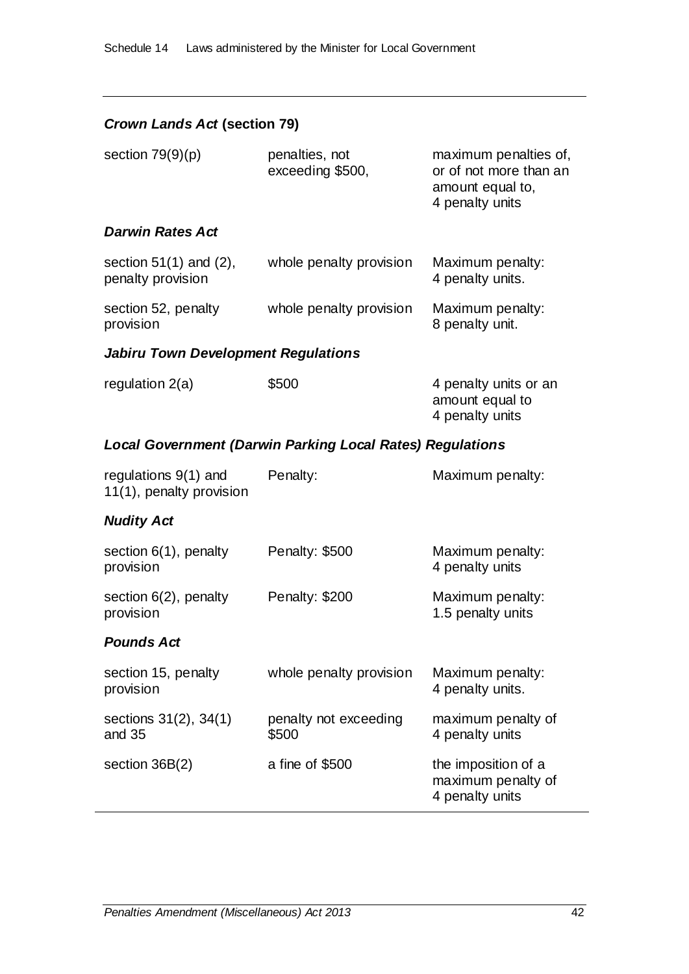| <b>Crown Lands Act (section 79)</b>                |                                                                  |                                                                                        |  |
|----------------------------------------------------|------------------------------------------------------------------|----------------------------------------------------------------------------------------|--|
| section $79(9)(p)$                                 | penalties, not<br>exceeding \$500,                               | maximum penalties of,<br>or of not more than an<br>amount equal to,<br>4 penalty units |  |
| <b>Darwin Rates Act</b>                            |                                                                  |                                                                                        |  |
| section $51(1)$ and $(2)$ ,<br>penalty provision   | whole penalty provision                                          | Maximum penalty:<br>4 penalty units.                                                   |  |
| section 52, penalty<br>provision                   | whole penalty provision                                          | Maximum penalty:<br>8 penalty unit.                                                    |  |
| <b>Jabiru Town Development Regulations</b>         |                                                                  |                                                                                        |  |
| regulation 2(a)                                    | \$500                                                            | 4 penalty units or an<br>amount equal to<br>4 penalty units                            |  |
|                                                    | <b>Local Government (Darwin Parking Local Rates) Regulations</b> |                                                                                        |  |
| regulations $9(1)$ and<br>11(1), penalty provision | Penalty:                                                         | Maximum penalty:                                                                       |  |
| <b>Nudity Act</b>                                  |                                                                  |                                                                                        |  |
| section $6(1)$ , penalty<br>provision              | Penalty: \$500                                                   | Maximum penalty:<br>4 penalty units                                                    |  |
| section $6(2)$ , penalty<br>provision              | Penalty: \$200                                                   | Maximum penalty:<br>1.5 penalty units                                                  |  |
| <b>Pounds Act</b>                                  |                                                                  |                                                                                        |  |
| section 15, penalty<br>provision                   | whole penalty provision                                          | Maximum penalty:<br>4 penalty units.                                                   |  |
| sections 31(2), 34(1)<br>and 35                    | penalty not exceeding<br>\$500                                   | maximum penalty of<br>4 penalty units                                                  |  |
| section $36B(2)$                                   | a fine of \$500                                                  | the imposition of a<br>maximum penalty of<br>4 penalty units                           |  |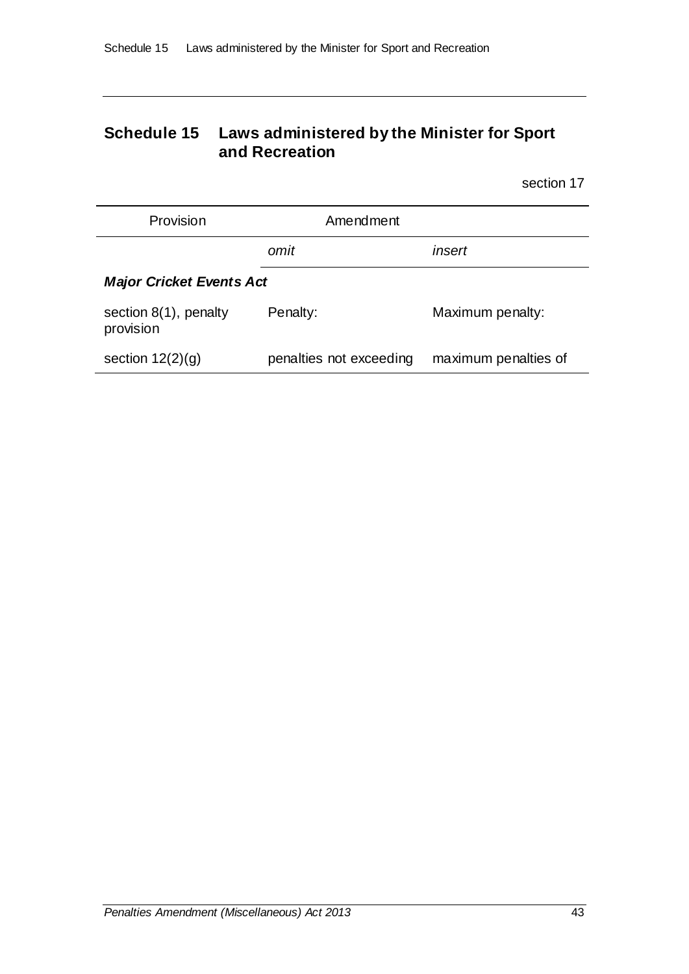## **Schedule 15 Laws administered by the Minister for Sport and Recreation**

| Provision                             | Amendment               |                      |  |
|---------------------------------------|-------------------------|----------------------|--|
|                                       | omit                    | insert               |  |
| <b>Major Cricket Events Act</b>       |                         |                      |  |
| section $8(1)$ , penalty<br>provision | Penalty:                | Maximum penalty:     |  |
| section $12(2)(g)$                    | penalties not exceeding | maximum penalties of |  |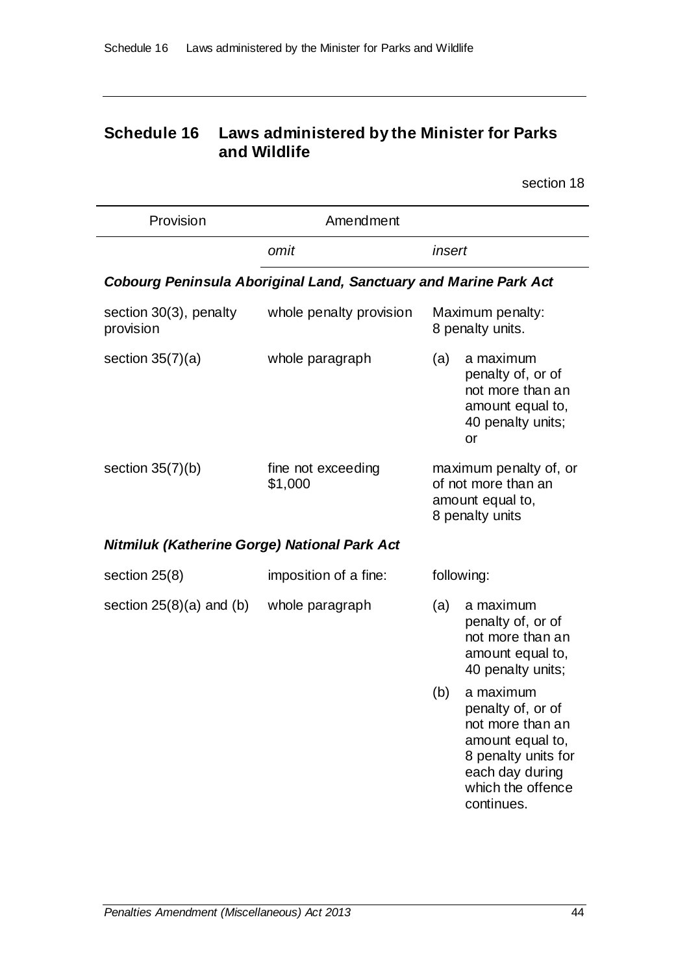## **Schedule 16 Laws administered by the Minister for Parks and Wildlife**

| Provision                                                               | Amendment                     |        |                                                                                                                                                     |
|-------------------------------------------------------------------------|-------------------------------|--------|-----------------------------------------------------------------------------------------------------------------------------------------------------|
|                                                                         | omit                          | insert |                                                                                                                                                     |
| <b>Cobourg Peninsula Aboriginal Land, Sanctuary and Marine Park Act</b> |                               |        |                                                                                                                                                     |
| section 30(3), penalty<br>provision                                     | whole penalty provision       |        | Maximum penalty:<br>8 penalty units.                                                                                                                |
| section $35(7)(a)$                                                      | whole paragraph               | (a)    | a maximum<br>penalty of, or of<br>not more than an<br>amount equal to,<br>40 penalty units;<br>or                                                   |
| section $35(7)(b)$                                                      | fine not exceeding<br>\$1,000 |        | maximum penalty of, or<br>of not more than an<br>amount equal to,<br>8 penalty units                                                                |
| <b>Nitmiluk (Katherine Gorge) National Park Act</b>                     |                               |        |                                                                                                                                                     |
| section $25(8)$                                                         | imposition of a fine:         |        | following:                                                                                                                                          |
| section $25(8)(a)$ and (b)                                              | whole paragraph               | (a)    | a maximum<br>penalty of, or of<br>not more than an<br>amount equal to,<br>40 penalty units;                                                         |
|                                                                         |                               | (b)    | a maximum<br>penalty of, or of<br>not more than an<br>amount equal to,<br>8 penalty units for<br>each day during<br>which the offence<br>continues. |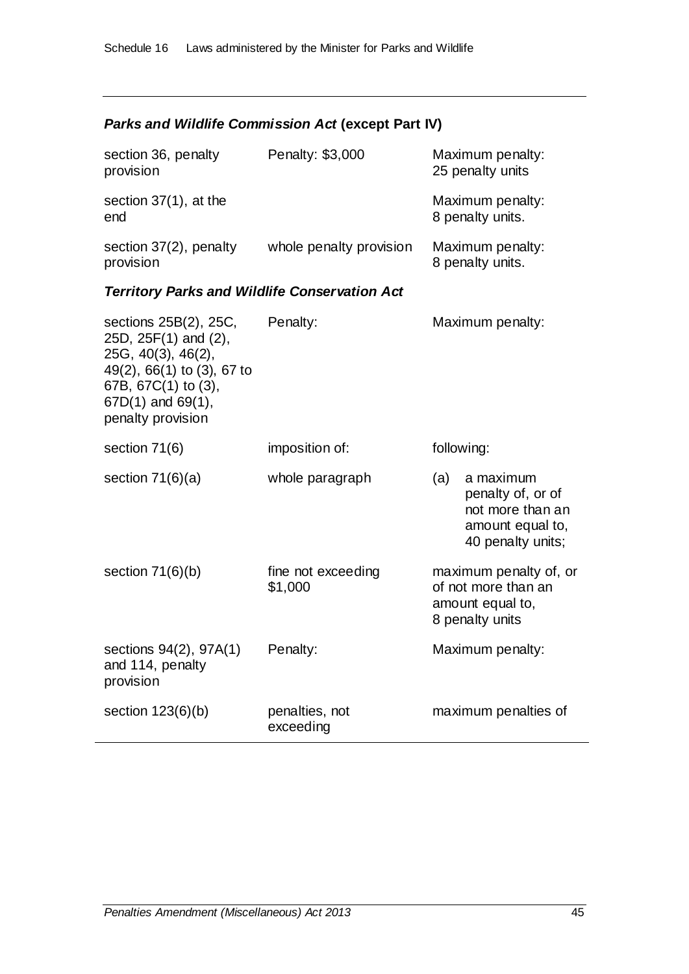# *Parks and Wildlife Commission Act* **(except Part IV)**

| section 36, penalty<br>provision                                                                                                                                        | Penalty: \$3,000              | Maximum penalty:<br>25 penalty units                                                               |  |
|-------------------------------------------------------------------------------------------------------------------------------------------------------------------------|-------------------------------|----------------------------------------------------------------------------------------------------|--|
| section 37(1), at the<br>end                                                                                                                                            |                               | Maximum penalty:<br>8 penalty units.                                                               |  |
| section 37(2), penalty<br>provision                                                                                                                                     | whole penalty provision       | Maximum penalty:<br>8 penalty units.                                                               |  |
| <b>Territory Parks and Wildlife Conservation Act</b>                                                                                                                    |                               |                                                                                                    |  |
| sections 25B(2), 25C,<br>25D, 25F(1) and (2),<br>25G, 40(3), 46(2),<br>49(2), 66(1) to (3), 67 to<br>67B, 67C(1) to (3),<br>$67D(1)$ and $69(1)$ ,<br>penalty provision | Penalty:                      | Maximum penalty:                                                                                   |  |
| section 71(6)                                                                                                                                                           | imposition of:                | following:                                                                                         |  |
| section $71(6)(a)$                                                                                                                                                      | whole paragraph               | (a)<br>a maximum<br>penalty of, or of<br>not more than an<br>amount equal to,<br>40 penalty units; |  |
| section $71(6)(b)$                                                                                                                                                      | fine not exceeding<br>\$1,000 | maximum penalty of, or<br>of not more than an<br>amount equal to,<br>8 penalty units               |  |
| sections 94(2), 97A(1)<br>and 114, penalty<br>provision                                                                                                                 | Penalty:                      | Maximum penalty:                                                                                   |  |
| section $123(6)(b)$                                                                                                                                                     | penalties, not<br>exceeding   | maximum penalties of                                                                               |  |